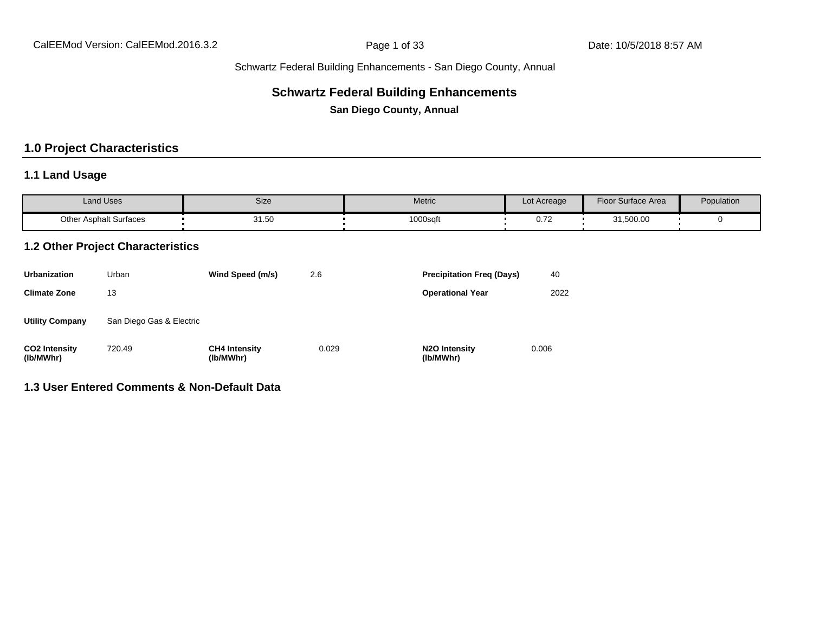## **Schwartz Federal Building Enhancements**

**San Diego County, Annual**

## **1.0 Project Characteristics**

## **1.1 Land Usage**

| <b>Land Uses</b>              | Size  | Metric   | Lot Acreage       | Floor Surface Area | Population |
|-------------------------------|-------|----------|-------------------|--------------------|------------|
| <b>Other Asphalt Surfaces</b> | 31.50 | 1000sqft | $\sim$ 70<br>0.12 | 31,500.00          |            |

#### **1.2 Other Project Characteristics**

| <b>Urbanization</b>               | Urban                    | Wind Speed (m/s)                  | 2.6   | <b>Precipitation Freg (Days)</b>        | 40    |
|-----------------------------------|--------------------------|-----------------------------------|-------|-----------------------------------------|-------|
| <b>Climate Zone</b>               | 13                       |                                   |       | <b>Operational Year</b>                 | 2022  |
| <b>Utility Company</b>            | San Diego Gas & Electric |                                   |       |                                         |       |
| <b>CO2 Intensity</b><br>(lb/MWhr) | 720.49                   | <b>CH4 Intensity</b><br>(lb/MWhr) | 0.029 | N <sub>2</sub> O Intensity<br>(lb/MWhr) | 0.006 |

## **1.3 User Entered Comments & Non-Default Data**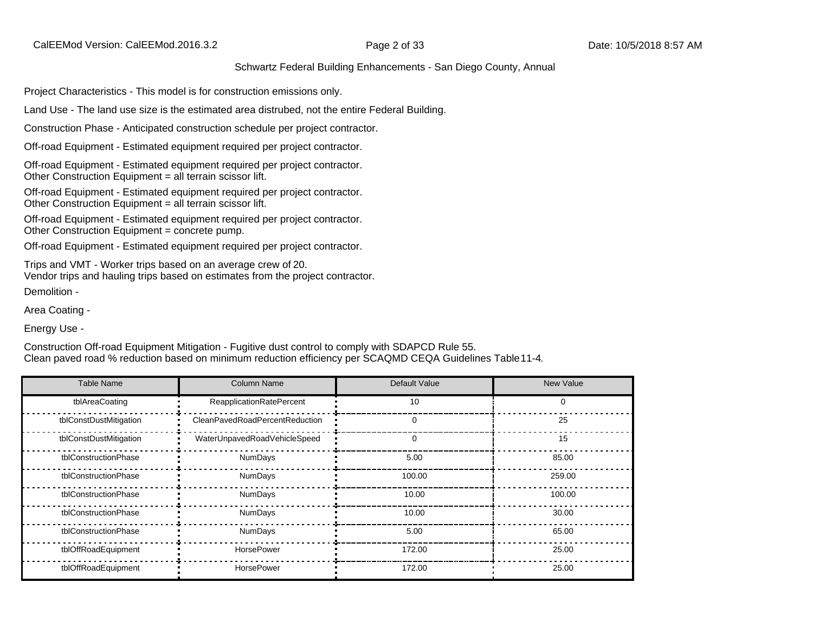Project Characteristics - This model is for construction emissions only.

Land Use - The land use size is the estimated area distrubed, not the entire Federal Building.

Construction Phase - Anticipated construction schedule per project contractor.

Off-road Equipment - Estimated equipment required per project contractor.

Off-road Equipment - Estimated equipment required per project contractor. Other Construction Equipment = all terrain scissor lift.

Off-road Equipment - Estimated equipment required per project contractor. Other Construction Equipment = all terrain scissor lift.

Off-road Equipment - Estimated equipment required per project contractor. Other Construction Equipment = concrete pump.

Off-road Equipment - Estimated equipment required per project contractor.

Trips and VMT - Worker trips based on an average crew of 20. Vendor trips and hauling trips based on estimates from the project contractor. Demolition -

Area Coating -

Energy Use -

Construction Off-road Equipment Mitigation - Fugitive dust control to comply with SDAPCD Rule 55. Clean paved road % reduction based on minimum reduction efficiency per SCAQMD CEQA Guidelines Table 11-4.

| <b>Table Name</b>      | <b>Column Name</b>              | Default Value | <b>New Value</b> |
|------------------------|---------------------------------|---------------|------------------|
| tblAreaCoating         | <b>ReapplicationRatePercent</b> | 10            | 0                |
| tblConstDustMitigation | CleanPavedRoadPercentReduction  | $\Omega$      | 25               |
| tblConstDustMitigation | WaterUnpavedRoadVehicleSpeed    | $\Omega$      | 15               |
| tblConstructionPhase   | <b>NumDays</b>                  | 5.00          | 85.00            |
| tblConstructionPhase   | <b>NumDays</b>                  | 100.00        | 259.00           |
| tblConstructionPhase   | <b>NumDays</b>                  | 10.00         | 100.00           |
| tblConstructionPhase   | NumDays                         | 10.00         | 30.00            |
| tblConstructionPhase   | <b>NumDays</b>                  | 5.00          | 65.00            |
| tblOffRoadEquipment    | HorsePower                      | 172.00        | 25.00            |
| tblOffRoadEquipment    | <b>HorsePower</b>               | 172.00        | 25.00            |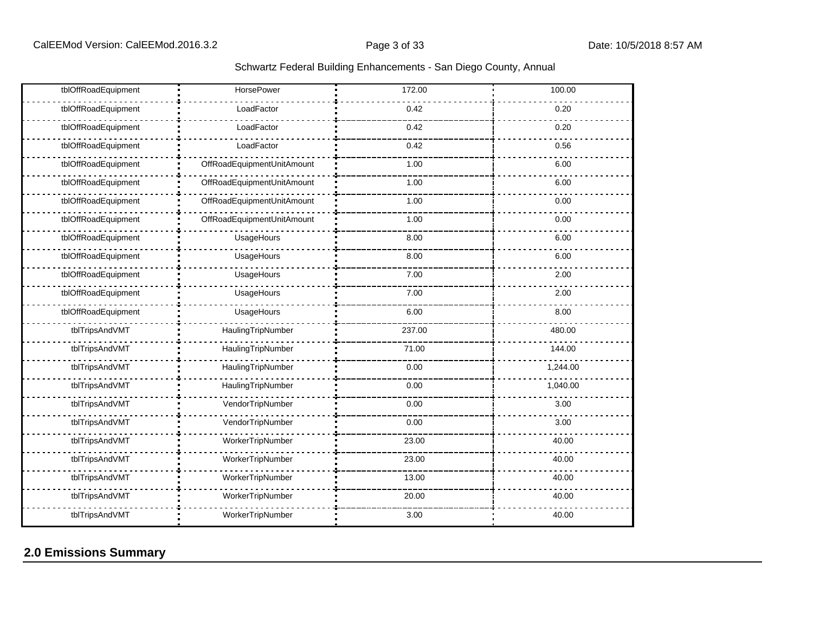| tblOffRoadEquipment | <b>HorsePower</b>          | 172.00 | 100.00   |
|---------------------|----------------------------|--------|----------|
| tblOffRoadEquipment | LoadFactor                 | 0.42   | 0.20     |
| tblOffRoadEquipment | LoadFactor                 | 0.42   | 0.20     |
| tblOffRoadEquipment | LoadFactor                 | 0.42   | 0.56     |
| tblOffRoadEquipment | OffRoadEquipmentUnitAmount | 1.00   | 6.00     |
| tblOffRoadEquipment | OffRoadEquipmentUnitAmount | 1.00   | 6.00     |
| tblOffRoadEquipment | OffRoadEquipmentUnitAmount | 1.00   | 0.00     |
| tblOffRoadEquipment | OffRoadEquipmentUnitAmount | 1.00   | 0.00     |
| tblOffRoadEquipment | UsageHours                 | 8.00   | 6.00     |
| tblOffRoadEquipment | UsageHours                 | 8.00   | 6.00     |
| tblOffRoadEquipment | UsageHours                 | 7.00   | 2.00     |
| tblOffRoadEquipment | UsageHours                 | 7.00   | 2.00     |
| tblOffRoadEquipment | UsageHours                 | 6.00   | 8.00     |
| tblTripsAndVMT      | HaulingTripNumber          | 237.00 | 480.00   |
| tblTripsAndVMT      | HaulingTripNumber          | 71.00  | 144.00   |
| tblTripsAndVMT      | HaulingTripNumber          | 0.00   | 1,244.00 |
| tblTripsAndVMT      | HaulingTripNumber          | 0.00   | 1,040.00 |
| tblTripsAndVMT      | VendorTripNumber           | 0.00   | 3.00     |
| tblTripsAndVMT      | VendorTripNumber           | 0.00   | 3.00     |
| tblTripsAndVMT      | WorkerTripNumber           | 23.00  | 40.00    |
| tblTripsAndVMT      | WorkerTripNumber           | 23.00  | 40.00    |
| tblTripsAndVMT      | WorkerTripNumber           | 13.00  | 40.00    |
| tblTripsAndVMT      | WorkerTripNumber           | 20.00  | 40.00    |
| tblTripsAndVMT      | WorkerTripNumber           | 3.00   | 40.00    |

## **2.0 Emissions Summary**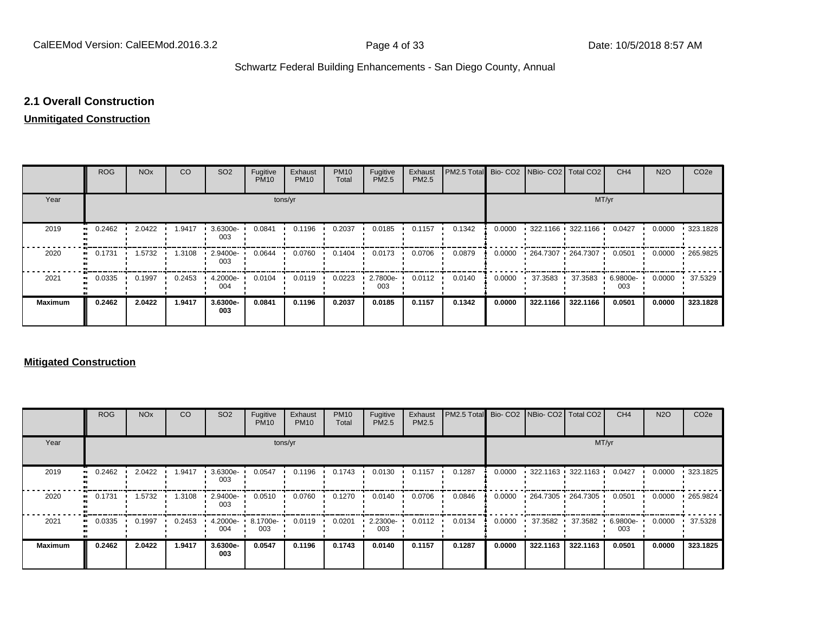## **2.1 Overall Construction**

## **Unmitigated Construction**

|                          | <b>ROG</b>                 | <b>NO<sub>x</sub></b> | CO     | SO <sub>2</sub> | Fugitive<br><b>PM10</b> | Exhaust<br><b>PM10</b> | <b>PM10</b><br>Total | Fugitive<br>PM2.5 | Exhaust<br>PM2.5 | PM2.5 Total Bio- CO2 NBio- CO2 Total CO2 |        |          |                                           | CH <sub>4</sub> | <b>N2O</b> | CO <sub>2</sub> e |
|--------------------------|----------------------------|-----------------------|--------|-----------------|-------------------------|------------------------|----------------------|-------------------|------------------|------------------------------------------|--------|----------|-------------------------------------------|-----------------|------------|-------------------|
| Year                     |                            |                       |        |                 | tons/yr                 |                        |                      |                   |                  |                                          |        |          | MT/yr                                     |                 |            |                   |
| 2019<br>$\bullet\bullet$ | 0.2462                     | 2.0422                | 1.9417 | 3.6300e-<br>003 | 0.0841                  | 0.1196                 | 0.2037               | 0.0185            | 0.1157           | 0.1342                                   | 0.0000 |          | $\cdot$ 322.1166 $\cdot$ 322.1166 $\cdot$ | 0.0427          | 0.0000     | $-323.1828$       |
| 2020                     | 0.1731<br>$\bullet\bullet$ | 1.5732                | 1.3108 | 2.9400e-<br>003 | 0.0644                  | 0.0760                 | 0.1404               | 0.0173            | 0.0706           | 0.0879                                   | 0.0000 |          | • 264.7307 • 264.7307 •                   | 0.0501          | 0.0000     | 265.9825          |
| 2021<br>$\bullet\bullet$ | 0.0335                     | 0.1997                | 0.2453 | 4.2000e-<br>004 | 0.0104                  | 0.0119                 | 0.0223               | 2.7800e-<br>003   | 0.0112           | 0.0140                                   | 0.0000 | 37.3583  | 37.3583                                   | 6.9800e-<br>003 | 0.0000     | 37.5329           |
| <b>Maximum</b>           | 0.2462                     | 2.0422                | 1.9417 | 3.6300e-<br>003 | 0.0841                  | 0.1196                 | 0.2037               | 0.0185            | 0.1157           | 0.1342                                   | 0.0000 | 322.1166 | 322.1166                                  | 0.0501          | 0.0000     | 323.1828          |

#### **Mitigated Construction**

|                | <b>ROG</b> | <b>NO<sub>x</sub></b> | CO     | SO <sub>2</sub> | Fugitive<br><b>PM10</b> | Exhaust<br><b>PM10</b> | <b>PM10</b><br>Total | Fugitive<br>PM2.5 | Exhaust<br>PM2.5 | PM2.5 Total |        |          | Bio- CO2 NBio- CO2 Total CO2              | CH <sub>4</sub> | <b>N2O</b> | CO <sub>2e</sub> |
|----------------|------------|-----------------------|--------|-----------------|-------------------------|------------------------|----------------------|-------------------|------------------|-------------|--------|----------|-------------------------------------------|-----------------|------------|------------------|
| Year           |            |                       |        |                 |                         | tons/yr                |                      |                   |                  |             |        |          | MT/yr                                     |                 |            |                  |
| 2019           | 0.2462     | 2.0422                | .9417  | 3.6300e-<br>003 | 0.0547                  | 0.1196                 | 0.1743               | 0.0130            | 0.1157           | 0.1287      | 0.0000 |          | $\cdot$ 322.1163 $\cdot$ 322.1163 $\cdot$ | 0.0427          | 0.0000     | $\cdot$ 323.1825 |
| 2020           | 0.1731     | 1.5732                | 1.3108 | 2.9400e-<br>003 | 0.0510                  | 0.0760                 | 0.1270               | 0.0140            | 0.0706           | 0.0846      | 0.0000 |          | $-264.7305 - 264.7305$                    | 0.0501          | 0.0000     | .265.9824        |
| 2021           | 0.0335     | 0.1997                | 0.2453 | 4.2000e-<br>004 | 8.1700e-<br>003         | 0.0119                 | 0.0201               | 2.2300e-<br>003   | 0.0112           | 0.0134      | 0.0000 | 37.3582  | 37.3582                                   | 6.9800e-<br>003 | 0.0000     | 37.5328          |
| <b>Maximum</b> | 0.2462     | 2.0422                | 1.9417 | 3.6300e-<br>003 | 0.0547                  | 0.1196                 | 0.1743               | 0.0140            | 0.1157           | 0.1287      | 0.0000 | 322.1163 | 322.1163                                  | 0.0501          | 0.0000     | 323.1825         |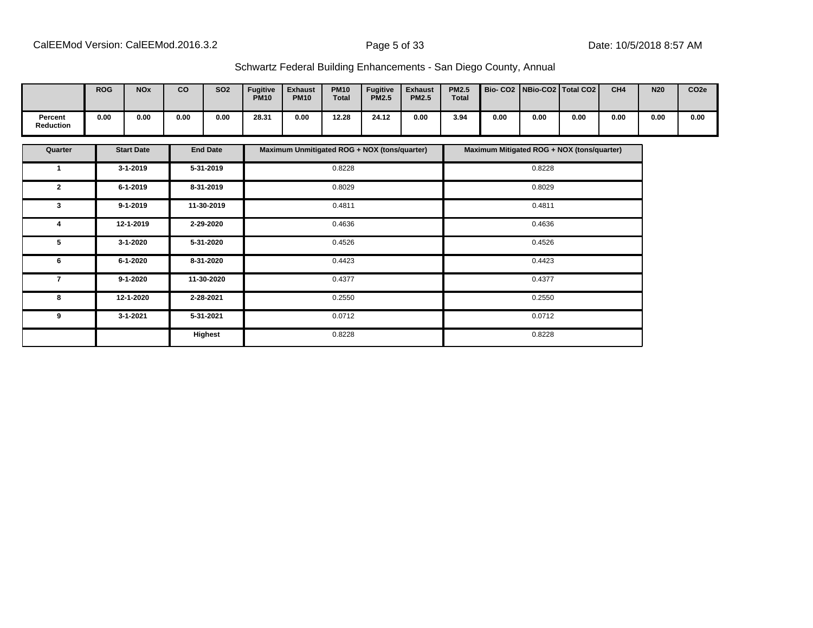|                             | <b>ROG</b> | <b>NOx</b> | co   | <b>SO2</b> | <b>Fugitive</b><br><b>PM10</b> | <b>Exhaust</b><br><b>PM10</b> | <b>PM10</b><br>Total | <b>Fugitive</b><br><b>PM2.5</b> | <b>Exhaust</b><br><b>PM2.5</b> | <b>PM2.5</b><br><b>Total</b> | Bio- CO2   NBio-CO2   Total CO2 |      |      | CH <sub>4</sub> | <b>N20</b> | CO <sub>2e</sub> |
|-----------------------------|------------|------------|------|------------|--------------------------------|-------------------------------|----------------------|---------------------------------|--------------------------------|------------------------------|---------------------------------|------|------|-----------------|------------|------------------|
| Percent<br><b>Reduction</b> | 0.00       | 0.00       | 0.00 | 0.00       | 28.31                          | 0.00                          | 12.28                | 24.12                           | 0.00                           | 3.94                         | 0.00                            | 0.00 | 0.00 | 0.00            | 0.00       | 0.00             |

| Quarter      | <b>Start Date</b> | <b>End Date</b> | Maximum Unmitigated ROG + NOX (tons/quarter) | Maximum Mitigated ROG + NOX (tons/quarter) |
|--------------|-------------------|-----------------|----------------------------------------------|--------------------------------------------|
| 1            | $3 - 1 - 2019$    | 5-31-2019       | 0.8228                                       | 0.8228                                     |
| $\mathbf{2}$ | $6 - 1 - 2019$    | 8-31-2019       | 0.8029                                       | 0.8029                                     |
| 3            | $9 - 1 - 2019$    | 11-30-2019      | 0.4811                                       | 0.4811                                     |
| 4            | 12-1-2019         | 2-29-2020       | 0.4636                                       | 0.4636                                     |
| 5            | 3-1-2020          | 5-31-2020       | 0.4526                                       | 0.4526                                     |
| 6            | 6-1-2020          | 8-31-2020       | 0.4423                                       | 0.4423                                     |
| 7            | $9 - 1 - 2020$    | 11-30-2020      | 0.4377                                       | 0.4377                                     |
| 8            | 12-1-2020         | 2-28-2021       | 0.2550                                       | 0.2550                                     |
| 9            | $3 - 1 - 2021$    | 5-31-2021       | 0.0712                                       | 0.0712                                     |
|              |                   | Highest         | 0.8228                                       | 0.8228                                     |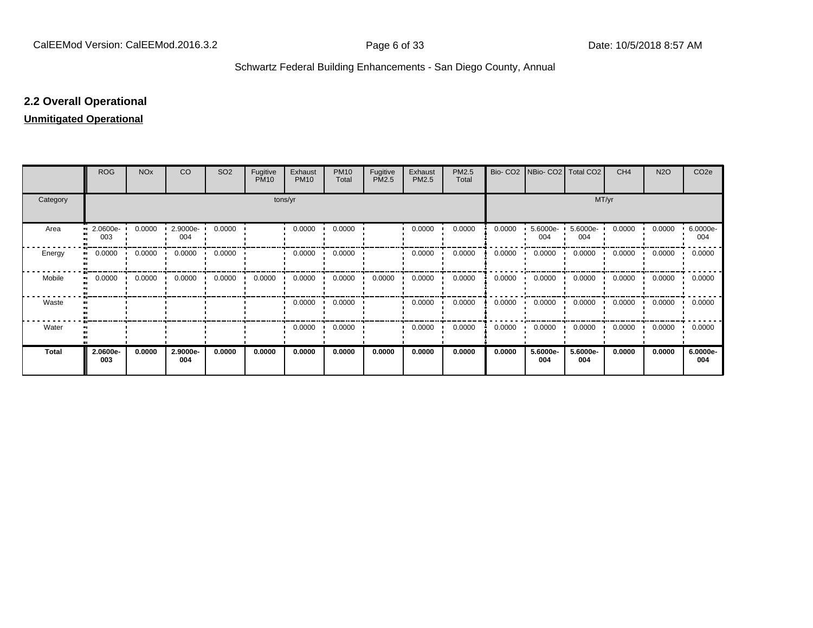## **2.2 Overall Operational**

## **Unmitigated Operational**

|              | <b>ROG</b>          | <b>NO<sub>x</sub></b> | CO              | SO <sub>2</sub> | Fugitive<br><b>PM10</b> | Exhaust<br><b>PM10</b> | <b>PM10</b><br>Total | Fugitive<br>PM2.5 | Exhaust<br>PM2.5 | PM2.5<br>Total | Bio-CO <sub>2</sub> | NBio- CO2   Total CO2 |                 | CH <sub>4</sub> | <b>N2O</b> | CO <sub>2</sub> e |
|--------------|---------------------|-----------------------|-----------------|-----------------|-------------------------|------------------------|----------------------|-------------------|------------------|----------------|---------------------|-----------------------|-----------------|-----------------|------------|-------------------|
| Category     |                     |                       |                 |                 | tons/yr                 |                        |                      | MT/yr             |                  |                |                     |                       |                 |                 |            |                   |
| Area         | 2.0600e-<br><br>003 | 0.0000                | 2.9000e-<br>004 | 0.0000          |                         | 0.0000                 | 0.0000               |                   | 0.0000           | 0.0000         | 0.0000              | 5.6000e-<br>004       | 5.6000e-<br>004 | 0.0000          | 0.0000     | 6.0000e-<br>004   |
| Energy       | 0.0000<br>          | 0.0000                | 0.0000          | 0.0000          |                         | 0.0000                 | 0.0000               |                   | 0.0000           | 0.0000         | 0.0000              | 0.0000                | 0.0000          | 0.0000          | 0.0000     | 0.0000            |
| Mobile       | 0.0000<br>.,        | 0.0000                | 0.0000          | 0.0000          | 0.0000                  | 0.0000                 | 0.0000               | 0.0000            | 0.0000           | 0.0000         | 0.0000              | 0.0000                | 0.0000          | 0.0000          | 0.0000     | 0.0000            |
| Waste        |                     |                       |                 |                 |                         | 0.0000                 | 0.0000               |                   | 0.0000           | 0.0000         | 0.0000              | 0.0000                | 0.0000          | 0.0000          | 0.0000     | 0.0000            |
| Water        |                     |                       |                 |                 |                         | 0.0000                 | 0.0000               |                   | 0.0000           | 0.0000         | 0.0000              | 0.0000                | 0.0000          | 0.0000          | 0.0000     | 0.0000            |
| <b>Total</b> | 2.0600e-<br>003     | 0.0000                | 2.9000e-<br>004 | 0.0000          | 0.0000                  | 0.0000                 | 0.0000               | 0.0000            | 0.0000           | 0.0000         | 0.0000              | 5.6000e-<br>004       | 5.6000e-<br>004 | 0.0000          | 0.0000     | 6.0000e-<br>004   |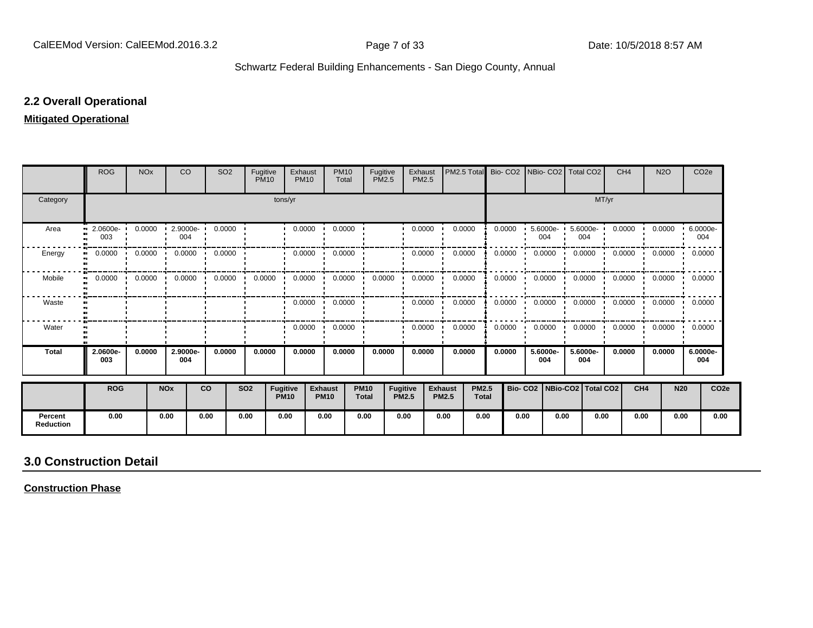#### **2.2 Overall Operational**

#### **Mitigated Operational**

|                             | <b>ROG</b>           | <b>NO<sub>x</sub></b> |                   | CO              | SO <sub>2</sub> | Fugitive<br><b>PM10</b> |                                | Exhaust<br><b>PM10</b> | <b>PM10</b><br>Total          |                             | Fugitive<br><b>PM2.5</b> | Exhaust<br>PM2.5 | PM2.5 Total                    |                              | Bio-CO <sub>2</sub> |                                 |                         | NBio- CO2   Total CO2 |       | CH <sub>4</sub> | <b>N2O</b>                 |            | CO <sub>2</sub> e |
|-----------------------------|----------------------|-----------------------|-------------------|-----------------|-----------------|-------------------------|--------------------------------|------------------------|-------------------------------|-----------------------------|--------------------------|------------------|--------------------------------|------------------------------|---------------------|---------------------------------|-------------------------|-----------------------|-------|-----------------|----------------------------|------------|-------------------|
| Category                    |                      |                       |                   |                 |                 |                         | tons/yr                        |                        |                               |                             |                          |                  |                                |                              |                     |                                 |                         |                       | MT/yr |                 |                            |            |                   |
| Area                        | $2.0600e - 1$<br>003 | 0.0000                |                   | 2.9000e-<br>004 | 0.0000          |                         |                                | 0.0000                 | 0.0000                        |                             |                          | 0.0000           | 0.0000                         |                              | 0.0000              |                                 | $5.6000e -$<br>004      | 5.6000e-<br>004       |       | 0.0000          | 0.0000                     |            | 6.0000e-<br>004   |
| Energy                      | 0.0000               | 0.0000                |                   | 0.0000<br>- 11  | 0.0000          |                         |                                | 0.0000                 | 0.0000                        |                             |                          | 0.0000           | 0.0000                         |                              | 0.0000              |                                 | 0.0000                  | 0.0000                |       | 0.0000          | 0.0000                     | $\cdot$    | 0.0000            |
| Mobile                      | 0.0000               |                       | $0.0000$ $0.0000$ |                 | 0.0000          | 0.0000                  |                                | 0.0000                 | 0.0000<br>$\cdot$             |                             | 0.0000                   | 0.0000           | 0.0000                         |                              | 0.0000              |                                 | $0.0000$ $\blacksquare$ | 0.0000                |       |                 | $0.0000$ 0.0000            |            | 0.0000            |
| Waste                       |                      |                       |                   |                 |                 |                         |                                | 0.0000                 | 0.0000<br>$\cdot$             |                             |                          | 0.0000           | 0.0000                         |                              | 0.0000              |                                 | 0.0000                  | 0.0000                |       |                 | $0.0000$ $0.0000$ $0.0000$ |            |                   |
| Water                       |                      |                       |                   |                 |                 |                         |                                | 0.0000                 | 0.0000                        |                             |                          | 0.0000           | 0.0000                         |                              | 0.0000              |                                 | 0.0000                  | 0.0000                |       | 0.0000          | 0.0000                     |            | 0.0000            |
| <b>Total</b>                | 2.0600e-<br>003      | 0.0000                |                   | 2.9000e-<br>004 | 0.0000          | 0.0000                  |                                | 0.0000                 | 0.0000                        |                             | 0.0000                   | 0.0000           | 0.0000                         |                              | 0.0000              |                                 | 5.6000e-<br>004         | 5.6000e-<br>004       |       | 0.0000          | 0.0000                     |            | 6.0000e-<br>004   |
|                             | <b>ROG</b>           |                       | <b>NOx</b>        |                 | co              | <b>SO2</b>              | <b>Fugitive</b><br><b>PM10</b> |                        | <b>Exhaust</b><br><b>PM10</b> | <b>PM10</b><br><b>Total</b> | Fugitive<br><b>PM2.5</b> |                  | <b>Exhaust</b><br><b>PM2.5</b> | <b>PM2.5</b><br><b>Total</b> |                     | Bio- CO2   NBio-CO2   Total CO2 |                         |                       |       | CH <sub>4</sub> |                            | <b>N20</b> | CO <sub>2e</sub>  |
| Percent<br><b>Reduction</b> | 0.00                 |                       | 0.00              |                 | 0.00            | 0.00                    | 0.00                           |                        | 0.00                          | 0.00                        | 0.00                     |                  | 0.00                           | 0.00                         |                     | 0.00                            | 0.00                    |                       | 0.00  | 0.00            |                            | 0.00       | 0.00              |

## **3.0 Construction Detail**

**Construction Phase**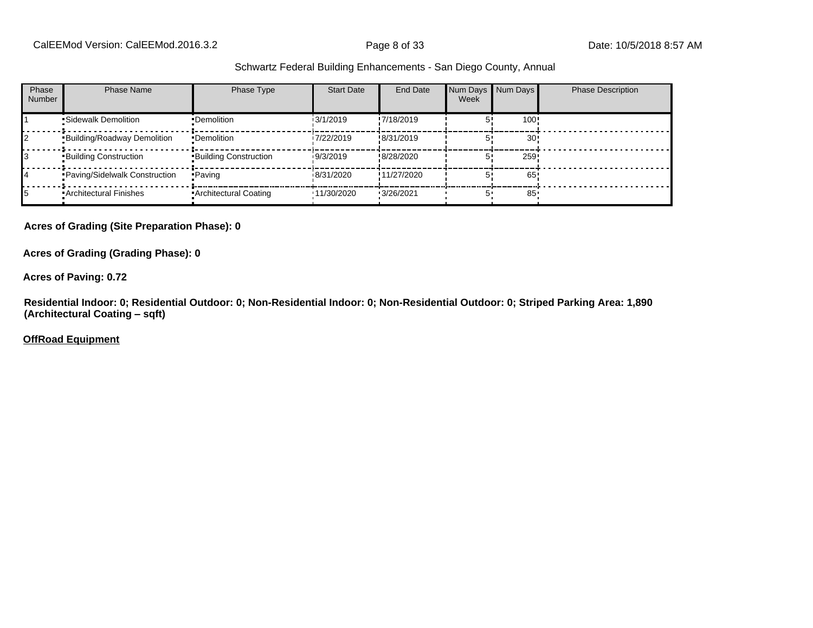| Phase<br><b>Number</b> | <b>Phase Name</b>                  | Phase Type                   | <b>Start Date</b> | End Date    | Num Days Num Days<br>Week |                 | <b>Phase Description</b> |
|------------------------|------------------------------------|------------------------------|-------------------|-------------|---------------------------|-----------------|--------------------------|
|                        | •Sidewalk Demolition               | •Demolition                  | 13/1/2019         | !7/18/2019  |                           | 100!            |                          |
|                        | <b>Building/Roadway Demolition</b> | •Demolition                  | 17/22/2019        | !8/31/2019  |                           | 30 <sup>1</sup> |                          |
|                        | <b>Building Construction</b>       | <b>Building Construction</b> | 19/3/2019         | !8/28/2020  |                           | 259!            |                          |
|                        | Paving/Sidelwalk Construction      | • Paving                     | 18/31/2020        | !11/27/2020 |                           | 65              |                          |
|                        | • Architectural Finishes           | • Architectural Coating      | '11/30/2020       | '3/26/2021  |                           | 85              |                          |

#### **Acres of Grading (Site Preparation Phase): 0**

**Acres of Grading (Grading Phase): 0**

#### **Acres of Paving: 0.72**

**Residential Indoor: 0; Residential Outdoor: 0; Non-Residential Indoor: 0; Non-Residential Outdoor: 0; Striped Parking Area: 1,890 (Architectural Coating ±sqft)**

#### **OffRoad Equipment**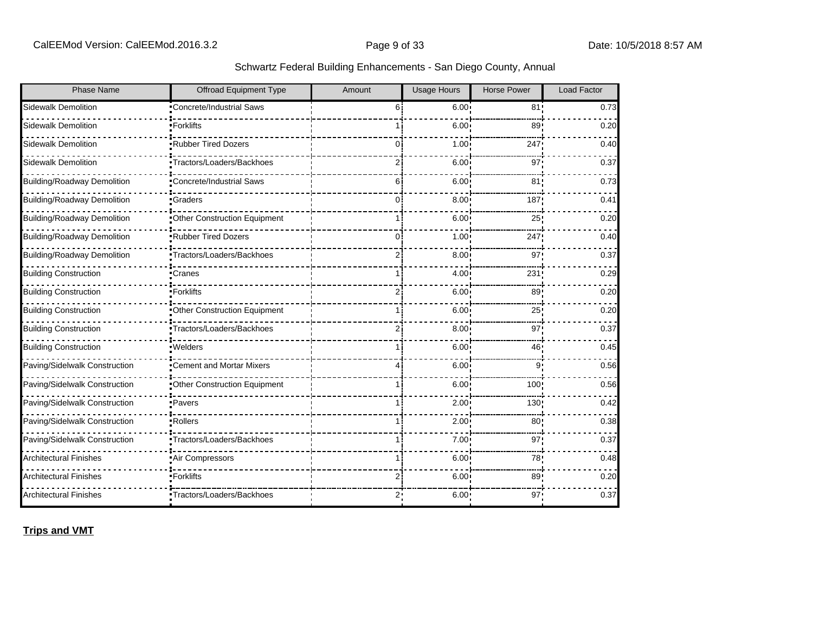| Phase Name                         | <b>Offroad Equipment Type</b>    | Amount         | <b>Usage Hours</b> | <b>Horse Power</b> | Load Factor |
|------------------------------------|----------------------------------|----------------|--------------------|--------------------|-------------|
| <b>Sidewalk Demolition</b>         | <b>Concrete/Industrial Saws</b>  | 6 <sup>1</sup> | $6.00 \cdot$       | 81 <sub>1</sub>    | 0.73        |
| <b>Sidewalk Demolition</b>         | •Forklifts                       |                | $6.00^{\circ}$     | 89                 | 0.20        |
| Sidewalk Demolition                | Rubber Tired Dozers              | Ωi             | 1.00               | 247                | 0.40        |
| Sidewalk Demolition                | Tractors/Loaders/Backhoes        | 21             | 6.00               | 97                 | 0.37        |
| <b>Building/Roadway Demolition</b> | <b>*Concrete/Industrial Saws</b> | 6              | 6.00               | 81                 | 0.73        |
| <b>Building/Roadway Demolition</b> | •Graders                         | 0i             | 8.00               | 187                | 0.41        |
| <b>Building/Roadway Demolition</b> | Other Construction Equipment     |                | 6.00               | 25 <sub>1</sub>    | 0.20        |
| <b>Building/Roadway Demolition</b> | Rubber Tired Dozers              | Ωİ             | 1.00               | 247                | 0.40        |
| <b>Building/Roadway Demolition</b> | Tractors/Loaders/Backhoes        | 2              | 8.00               | 97                 | 0.37        |
| <b>Building Construction</b>       | Cranes                           |                | 4.00 <sup>1</sup>  | 231                | 0.29        |
| <b>Building Construction</b>       | ■Forklifts                       | 2i             | 6.00               | 89                 | 0.20        |
| <b>Building Construction</b>       | Other Construction Equipment     |                | $6.00 \cdot$       | 25                 | 0.20        |
| <b>Building Construction</b>       | Tractors/Loaders/Backhoes        | 2              | 8.00               | 97                 | 0.37        |
| <b>Building Construction</b>       | ·Welders                         |                | 6.00               | 46                 | 0.45        |
| Paving/Sidelwalk Construction      | Cement and Mortar Mixers         | 4 i            | 6.00               | 9                  | 0.56        |
| Paving/Sidelwalk Construction      | Other Construction Equipment     |                | 6.00               | 100                | 0.56        |
| Paving/Sidelwalk Construction      | • Pavers                         |                | 2.00               | 130 <sub>1</sub>   | 0.42        |
| Paving/Sidelwalk Construction      | ·Rollers                         |                | 2.00               | 80 <sub>2</sub>    | 0.38        |
| Paving/Sidelwalk Construction      | Tractors/Loaders/Backhoes        |                | 7.00               | 97 <sub>1</sub>    | 0.37        |
| <b>Architectural Finishes</b>      | Air Compressors                  | 1 i            | 6.00               | 78                 | 0.48        |
| <b>Architectural Finishes</b>      | •Forklifts                       |                | 6.00               | 89                 | 0.20        |
| <b>Architectural Finishes</b>      | Tractors/Loaders/Backhoes        |                | 6.00               | 97                 | 0.37        |

**Trips and VMT**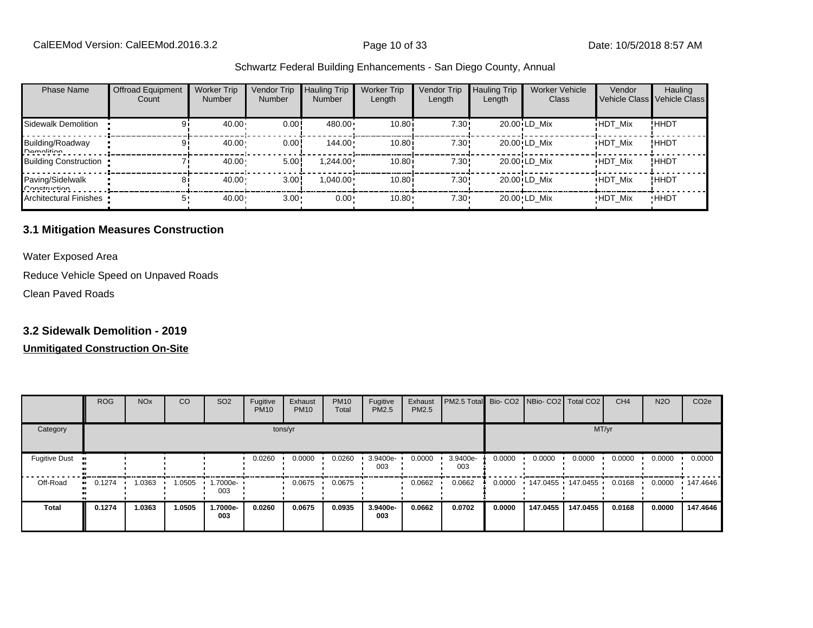| <b>Phase Name</b>                | <b>Offroad Equipment</b><br>Count | <b>Worker Trip</b><br><b>Number</b> | Vendor Trip<br><b>Number</b> | <b>Hauling Trip</b><br><b>Number</b> | <b>Worker Trip</b><br>Length | Vendor Trip<br>Length | <b>Hauling Trip</b><br>Length | <b>Worker Vehicle</b><br>Class | Vendor         | Hauling<br>Vehicle Class Vehicle Class |
|----------------------------------|-----------------------------------|-------------------------------------|------------------------------|--------------------------------------|------------------------------|-----------------------|-------------------------------|--------------------------------|----------------|----------------------------------------|
| Sidewalk Demolition              |                                   | 40.00                               | 0.00!                        | 480.00                               | 10.80i                       | 7.30!                 |                               | 20.00 LD Mix                   | <b>HDT Mix</b> | !ННDТ                                  |
| Building/Roadway<br>Namolition   |                                   | 40.00                               | 0.00                         | $144.00 \cdot$                       | 10.80i                       | 7.30!                 |                               | 20.00 LD Mix                   | <b>HDT Mix</b> | ! ННDТ                                 |
| <b>Building Construction</b>     |                                   | 40.00                               | 5.00                         | $1.244.00 \cdot$                     | 10.80i                       | 7.30!                 |                               | 20.00 LD Mix                   | <b>HDT Mix</b> | <b>HHDT</b>                            |
| Paving/Sidelwalk<br>Conetruction | 81                                | 40.00                               | 3.00                         | $1,040.00 \cdot$                     | 10.80i                       | 7.30!                 |                               | $20.00$ LD Mix                 | <b>HDT Mix</b> | ! ННDТ                                 |
| Architectural Finishes           |                                   | 40.00                               | $3.00 -$                     | $0.00 \cdot$                         | 10.80                        | $7.30 -$              |                               | 20.00 LD Mix                   | <b>HDT Mix</b> | <b>HHDT</b>                            |

#### **3.1 Mitigation Measures Construction**

Water Exposed Area

Reduce Vehicle Speed on Unpaved Roads

Clean Paved Roads

#### **3.2 Sidewalk Demolition - 2019**

|                                     | <b>ROG</b>                 | <b>NO<sub>x</sub></b> | CO     | SO <sub>2</sub> | Fugitive<br><b>PM10</b> | Exhaust<br><b>PM10</b> | <b>PM10</b><br>Total | Fugitive<br>PM2.5 | Exhaust<br>PM2.5 | PM2.5 Total Bio- CO2 NBio- CO2 Total CO2 |        |                   |          | CH <sub>4</sub> | <b>N2O</b> | CO <sub>2e</sub> |
|-------------------------------------|----------------------------|-----------------------|--------|-----------------|-------------------------|------------------------|----------------------|-------------------|------------------|------------------------------------------|--------|-------------------|----------|-----------------|------------|------------------|
| Category                            |                            |                       |        |                 | tons/yr                 |                        |                      |                   |                  |                                          |        |                   | MT/yr    |                 |            |                  |
| <b>Fugitive Dust</b><br>$\bullet$ : |                            |                       |        |                 | 0.0260                  | 0.0000                 | 0.0260               | 3.9400e-<br>003   | 0.0000           | 3.9400e-<br>003                          | 0.0000 | 0.0000            | 0.0000   | 0.0000          | 0.0000     | 0.0000           |
| Off-Road                            | 0.1274<br>$\bullet\bullet$ | 1.0363                | .0505  | 1.7000e-<br>003 |                         | 0.0675                 | 0.0675               |                   | 0.0662           | 0.0662                                   | 0.0000 | 147.0455 147.0455 |          | 0.0168          | 0.0000     | $\cdot$ 147.4646 |
| <b>Total</b>                        | 0.1274                     | 1.0363                | 1.0505 | 1.7000e-<br>003 | 0.0260                  | 0.0675                 | 0.0935               | 3.9400e-<br>003   | 0.0662           | 0.0702                                   | 0.0000 | 147.0455          | 147.0455 | 0.0168          | 0.0000     | 147.4646         |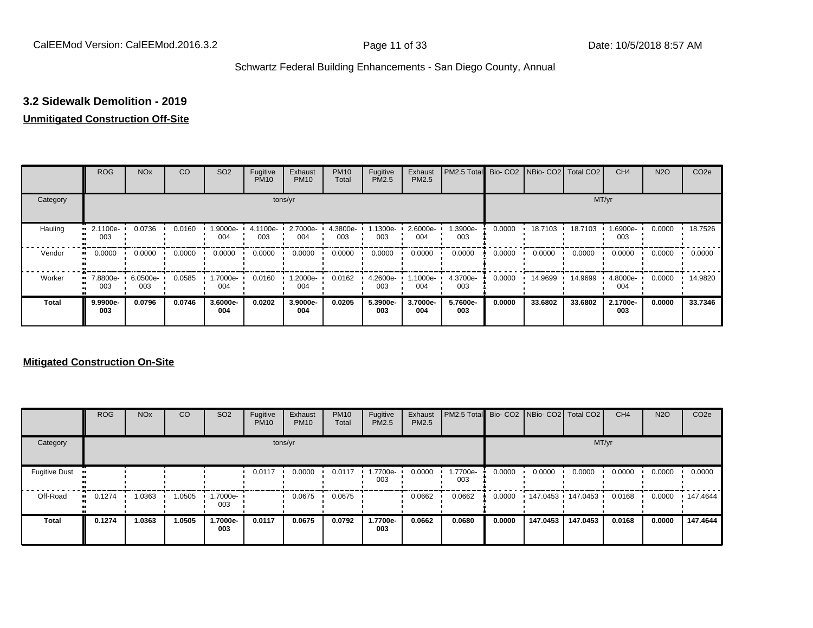## **3.2 Sidewalk Demolition - 2019**

#### **Unmitigated Construction Off-Site**

|              | <b>ROG</b>                   | <b>NO<sub>x</sub></b> | CO     | SO <sub>2</sub> | Fugitive<br><b>PM10</b> | Exhaust<br><b>PM10</b> | <b>PM10</b><br>Total | Fugitive<br>PM2.5 | Exhaust<br>PM2.5 | PM2.5 Total     |        | Bio- CO2   NBio- CO2   Total CO2 |         | CH <sub>4</sub> | <b>N2O</b> | CO <sub>2e</sub> |
|--------------|------------------------------|-----------------------|--------|-----------------|-------------------------|------------------------|----------------------|-------------------|------------------|-----------------|--------|----------------------------------|---------|-----------------|------------|------------------|
| Category     |                              |                       |        |                 | tons/yr                 |                        |                      |                   |                  |                 |        |                                  | MT/yr   |                 |            |                  |
| Hauling      | 2.1100e-<br>003              | 0.0736                | 0.0160 | 1.9000e-<br>004 | 4.1100e-<br>003         | 2.7000e-<br>004        | 4.3800e-<br>003      | 1300e-<br>003     | 2.6000e-<br>004  | 1.3900e-<br>003 | 0.0000 | 18.7103                          | 18.7103 | 1.6900e-<br>003 | 0.0000     | 18.7526          |
| Vendor       | 0.0000<br>$\bullet\bullet$   | 0.0000                | 0.0000 | 0.0000          | 0.0000                  | 0.0000                 | 0.0000               | 0.0000            | 0.0000           | 0.0000          | 0.0000 | 0.0000                           | 0.0000  | 0.0000          | 0.0000     | 0.0000           |
| Worker       | 7.8800e-<br>$\bullet$<br>003 | 6.0500e-<br>003       | 0.0585 | 1.7000e-<br>004 | 0.0160                  | 1.2000e-<br>004        | 0.0162               | 4.2600e-<br>003   | $.1000e-$<br>004 | 4.3700e-<br>003 | 0.0000 | 14.9699                          | 14.9699 | 4.8000e-<br>004 | 0.0000     | 14.9820          |
| <b>Total</b> | 9.9900e-<br>003              | 0.0796                | 0.0746 | 3.6000e-<br>004 | 0.0202                  | 3.9000e-<br>004        | 0.0205               | 5.3900e-<br>003   | 3.7000e-<br>004  | 5.7600e-<br>003 | 0.0000 | 33.6802                          | 33.6802 | 2.1700e-<br>003 | 0.0000     | 33.7346          |

|                      | <b>ROG</b>   | <b>NO<sub>x</sub></b> | CO     | SO <sub>2</sub> | Fugitive<br><b>PM10</b> | Exhaust<br><b>PM10</b> | <b>PM10</b><br>Total | Fugitive<br>PM2.5 | Exhaust<br><b>PM2.5</b> | PM2.5 Total Bio- CO2 NBio- CO2 Total CO2 |        |          |            | CH <sub>4</sub> | <b>N2O</b> | CO <sub>2e</sub> |
|----------------------|--------------|-----------------------|--------|-----------------|-------------------------|------------------------|----------------------|-------------------|-------------------------|------------------------------------------|--------|----------|------------|-----------------|------------|------------------|
| Category             |              |                       |        |                 |                         | tons/yr                |                      |                   |                         |                                          |        |          | MT/yr      |                 |            |                  |
| <b>Fugitive Dust</b> |              |                       |        |                 | 0.0117                  | 0.0000                 | 0.0117               | 1.7700e-<br>003   | 0.0000                  | 1.7700e-<br>003                          | 0.0000 | 0.0000   | 0.0000     | 0.0000          | 0.0000     | 0.0000           |
| Off-Road             | 0.1274<br>ш. | 1.0363                | 1.0505 | 1.7000e-<br>003 |                         | 0.0675                 | 0.0675               |                   | 0.0662                  | 0.0662                                   | 0.0000 | 147.0453 | 147.0453 · | 0.0168          | 0.0000     | 147.4644         |
| <b>Total</b>         | 0.1274       | 1.0363                | 1.0505 | 1.7000e-<br>003 | 0.0117                  | 0.0675                 | 0.0792               | 1.7700e-<br>003   | 0.0662                  | 0.0680                                   | 0.0000 | 147.0453 | 147.0453   | 0.0168          | 0.0000     | 147.4644         |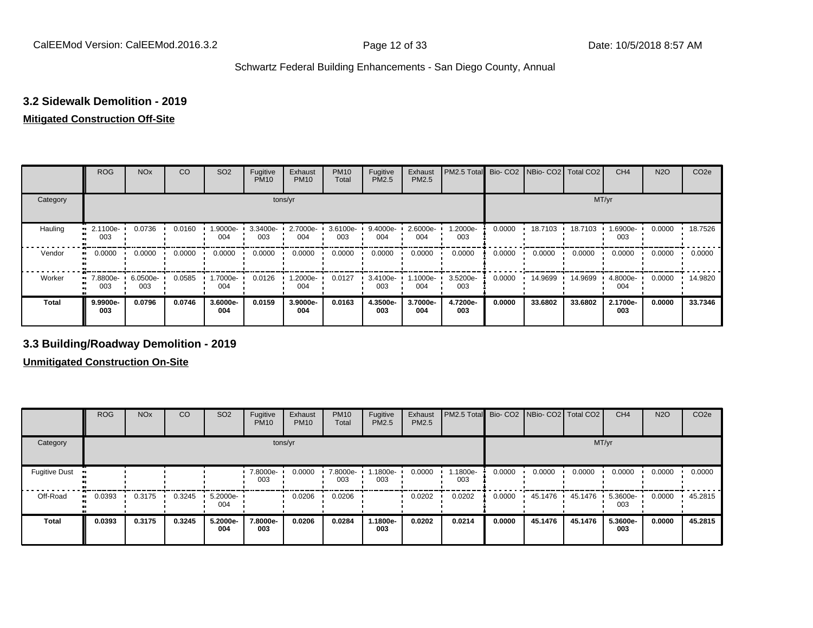#### **3.2 Sidewalk Demolition - 2019**

#### **Mitigated Construction Off-Site**

|                           | <b>ROG</b>          | <b>NO<sub>x</sub></b> | CO     | SO <sub>2</sub> | Fugitive<br><b>PM10</b> | Exhaust<br><b>PM10</b> | <b>PM10</b><br>Total | Fugitive<br>PM2.5 | Exhaust<br>PM2.5 | PM2.5 Total Bio- CO2 NBio- CO2 Total CO2 |        |         |         | CH <sub>4</sub> | <b>N2O</b> | CO <sub>2e</sub> |
|---------------------------|---------------------|-----------------------|--------|-----------------|-------------------------|------------------------|----------------------|-------------------|------------------|------------------------------------------|--------|---------|---------|-----------------|------------|------------------|
| Category                  |                     |                       |        |                 |                         | tons/yr                |                      |                   |                  |                                          |        |         | MT/yr   |                 |            |                  |
| Hauling<br>$\blacksquare$ | 2.1100e-<br>003     | 0.0736                | 0.0160 | 1.9000e-<br>004 | 3.3400e-<br>003         | 2.7000e-<br>004        | 3.6100e<br>003       | 9.4000e-<br>004   | 2.6000e-<br>004  | 1.2000e-<br>003                          | 0.0000 | 18.7103 | 18.7103 | 1.6900e-<br>003 | 0.0000     | 18.7526          |
| Vendor                    | 0.0000<br>$\bullet$ | 0.0000                | 0.0000 | 0.0000          | 0.0000                  | 0.0000                 | 0.0000               | 0.0000            | 0.0000           | 0.0000                                   | 0.0000 | 0.0000  | 0.0000  | 0.0000          | 0.0000     | 0.0000           |
| Worker<br>$\bullet$       | 7.8800e-<br>003     | 6.0500e-<br>003       | 0.0585 | -.7000e<br>004  | 0.0126                  | -2000e.<br>004         | 0.0127               | 3.4100e-<br>003   | -.1000e<br>004   | 3.5200e-<br>003                          | 0.0000 | 14.9699 | 14.9699 | 4.8000e-<br>004 | 0.0000     | 14.9820          |
| <b>Total</b>              | 9.9900e-<br>003     | 0.0796                | 0.0746 | 3.6000e-<br>004 | 0.0159                  | 3.9000e-<br>004        | 0.0163               | 4.3500e-<br>003   | 3.7000e-<br>004  | 4.7200e-<br>003                          | 0.0000 | 33.6802 | 33.6802 | 2.1700e-<br>003 | 0.0000     | 33.7346          |

## **3.3 Building/Roadway Demolition - 2019**

|                       | <b>ROG</b> | <b>NO<sub>x</sub></b> | CO     | SO <sub>2</sub>   | Fugitive<br><b>PM10</b> | Exhaust<br><b>PM10</b> | <b>PM10</b><br>Total | Fugitive<br><b>PM2.5</b> | Exhaust<br>PM2.5 | PM2.5 Total Bio- CO2 NBio- CO2 Total CO2 |        |         |         | CH <sub>4</sub> | <b>N2O</b> | CO <sub>2e</sub> |
|-----------------------|------------|-----------------------|--------|-------------------|-------------------------|------------------------|----------------------|--------------------------|------------------|------------------------------------------|--------|---------|---------|-----------------|------------|------------------|
| Category              |            |                       |        |                   | tons/yr                 |                        |                      |                          |                  |                                          |        |         | MT/yr   |                 |            |                  |
| <b>Fugitive Dust</b>  |            |                       |        |                   | 7.8000e-<br>003         | 0.0000                 | 7.8000e-<br>003      | $.1800e-$<br>003         | 0.0000           | 1.1800e-<br>003                          | 0.0000 | 0.0000  | 0.0000  | 0.0000          | 0.0000     | 0.0000           |
| Off-Road<br>$\bullet$ | 0.0393     | 0.3175                | 0.3245 | $5.2000e-$<br>004 |                         | 0.0206                 | 0.0206               |                          | 0.0202           | 0.0202                                   | 0.0000 | 45.1476 | 45.1476 | 5.3600e-<br>003 | 0.0000     | 45.2815          |
| <b>Total</b>          | 0.0393     | 0.3175                | 0.3245 | 5.2000e-<br>004   | 7.8000e-<br>003         | 0.0206                 | 0.0284               | 1.1800e-<br>003          | 0.0202           | 0.0214                                   | 0.0000 | 45.1476 | 45.1476 | 5.3600e-<br>003 | 0.0000     | 45.2815          |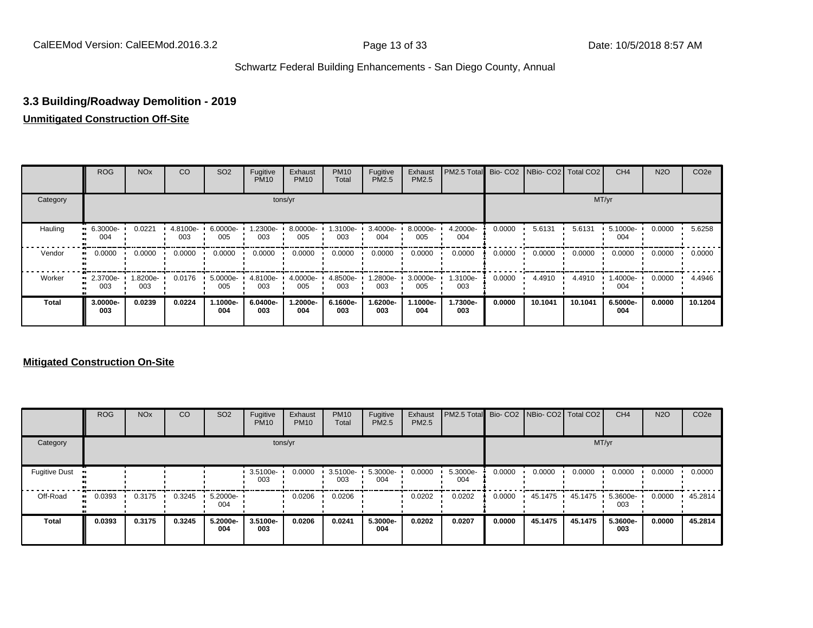## **3.3 Building/Roadway Demolition - 2019**

## **Unmitigated Construction Off-Site**

|              | <b>ROG</b>      | <b>NO<sub>x</sub></b> | CO              | SO <sub>2</sub> | Fugitive<br><b>PM10</b> | Exhaust<br><b>PM10</b> | <b>PM10</b><br>Total | Fugitive<br><b>PM2.5</b> | Exhaust<br>PM2.5 | PM2.5 Total Bio- CO2 NBio- CO2 Total CO2 |        |         |         | CH <sub>4</sub> | <b>N2O</b> | CO <sub>2e</sub> |
|--------------|-----------------|-----------------------|-----------------|-----------------|-------------------------|------------------------|----------------------|--------------------------|------------------|------------------------------------------|--------|---------|---------|-----------------|------------|------------------|
| Category     |                 |                       |                 |                 |                         | tons/yr                |                      |                          |                  |                                          |        |         |         | MT/yr           |            |                  |
| Hauling      | 6.3000e-<br>004 | 0.0221                | 4.8100e-<br>003 | 6.0000e-<br>005 | -2300e-<br>003          | 8.0000e-<br>005        | 1.3100e-<br>003      | 3.4000e-<br>004          | 8.0000e-<br>005  | 4.2000e-<br>004                          | 0.0000 | 5.6131  | 5.6131  | 5.1000e-<br>004 | 0.0000     | 5.6258           |
| Vendor       | 0.0000          | 0.0000                | 0.0000          | 0.0000          | 0.0000                  | 0.0000                 | 0.0000               | 0.0000                   | 0.0000           | 0.0000                                   | 0.0000 | 0.0000  | 0.0000  | 0.0000          | 0.0000     | 0.0000           |
| Worker       | 2.3700e-<br>003 | 1.8200e-<br>003       | 0.0176          | 5.0000e-<br>005 | 4.8100e-<br>003         | 4.0000e-<br>005        | 4.8500e-<br>003      | .2800e-<br>003           | 3.0000e-<br>005  | 1.3100e-<br>003                          | 0.0000 | 4.4910  | 4.4910  | .4000e-<br>004  | 0.0000     | 4.4946           |
| <b>Total</b> | 3.0000e-<br>003 | 0.0239                | 0.0224          | 1.1000e-<br>004 | 6.0400e-<br>003         | 1.2000e-<br>004        | 6.1600e-<br>003      | 1.6200e-<br>003          | 1.1000e-<br>004  | 1.7300e-<br>003                          | 0.0000 | 10.1041 | 10.1041 | 6.5000e-<br>004 | 0.0000     | 10.1204          |

|                      | <b>ROG</b> | <b>NO<sub>x</sub></b> | CO     | SO <sub>2</sub> | Fugitive<br><b>PM10</b> | Exhaust<br><b>PM10</b> | <b>PM10</b><br>Total | Fugitive<br><b>PM2.5</b> | Exhaust<br><b>PM2.5</b> | PM2.5 Total Bio- CO2 NBio- CO2 Total CO2 |        |         |         | CH <sub>4</sub> | <b>N2O</b> | CO <sub>2e</sub> |
|----------------------|------------|-----------------------|--------|-----------------|-------------------------|------------------------|----------------------|--------------------------|-------------------------|------------------------------------------|--------|---------|---------|-----------------|------------|------------------|
| Category             |            |                       |        |                 |                         | tons/yr                |                      |                          |                         |                                          |        |         |         | MT/yr           |            |                  |
| <b>Fugitive Dust</b> |            |                       |        |                 | 3.5100e-<br>003         | 0.0000                 | 3.5100e-<br>003      | 5.3000e-<br>004          | 0.0000                  | 5.3000e-<br>004                          | 0.0000 | 0.0000  | 0.0000  | 0.0000          | 0.0000     | 0.0000           |
| Off-Road             | 0.0393     | 0.3175                | 0.3245 | 5.2000e-<br>004 |                         | 0.0206                 | 0.0206               |                          | 0.0202                  | 0.0202                                   | 0.0000 | 45.1475 | 45.1475 | 5.3600e-<br>003 | 0.0000     | 45.2814          |
| <b>Total</b>         | 0.0393     | 0.3175                | 0.3245 | 5.2000e-<br>004 | 3.5100e-<br>003         | 0.0206                 | 0.0241               | 5.3000e-<br>004          | 0.0202                  | 0.0207                                   | 0.0000 | 45.1475 | 45.1475 | 5.3600e-<br>003 | 0.0000     | 45.2814          |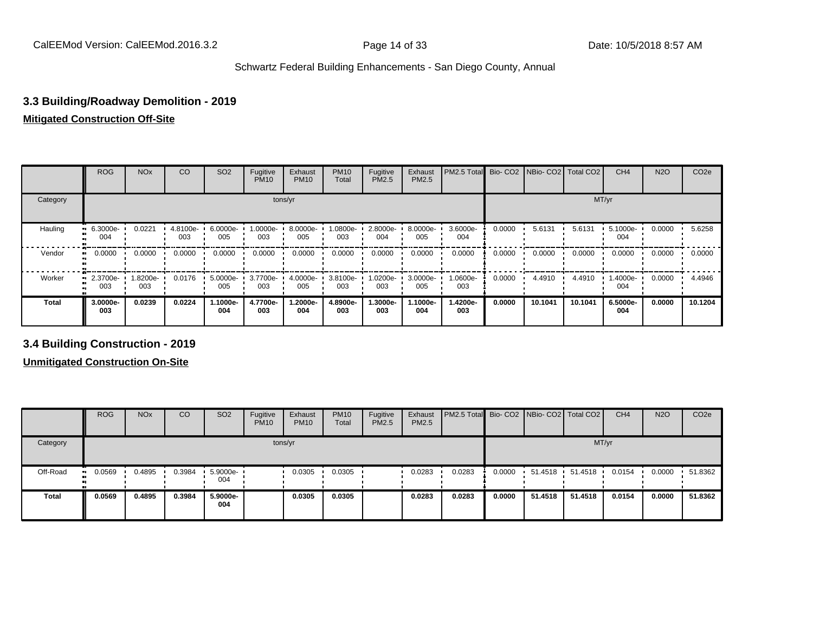## **3.3 Building/Roadway Demolition - 2019**

#### **Mitigated Construction Off-Site**

|              | <b>ROG</b>           | <b>NO<sub>x</sub></b> | CO              | SO <sub>2</sub> | Fugitive<br><b>PM10</b> | Exhaust<br><b>PM10</b> | <b>PM10</b><br>Total | Fugitive<br>PM2.5 | Exhaust<br>PM2.5 | PM2.5 Total Bio- CO2 NBio- CO2 Total CO2 |        |         |         | CH <sub>4</sub> | <b>N2O</b> | CO <sub>2e</sub> |
|--------------|----------------------|-----------------------|-----------------|-----------------|-------------------------|------------------------|----------------------|-------------------|------------------|------------------------------------------|--------|---------|---------|-----------------|------------|------------------|
| Category     |                      |                       |                 |                 |                         | tons/yr                |                      |                   |                  |                                          |        |         | MT/yr   |                 |            |                  |
| Hauling      | 6.3000e-<br>ш<br>004 | 0.0221                | 4.8100e-<br>003 | 6.0000e-<br>005 | 1.0000e-<br>003         | 8.0000e-<br>005        | 1.0800e-<br>003      | 2.8000e-<br>004   | 8.0000e-<br>005  | 3.6000e-<br>004                          | 0.0000 | 5.6131  | 5.6131  | 5.1000e-<br>004 | 0.0000     | 5.6258           |
| Vendor       | 0.0000               | 0.0000                | 0.0000          | 0.0000          | 0.0000                  | 0.0000                 | 0.0000               | 0.0000            | 0.0000           | 0.0000                                   | 0.0000 | 0.0000  | 0.0000  | 0.0000          | 0.0000     | 0.0000           |
| Worker<br>m  | 2.3700e-<br>003      | 1.8200e-<br>003       | 0.0176          | 5.0000e-<br>005 | 3.7700e-<br>003         | 4.0000e-<br>005        | 3.8100e-<br>003      | 1.0200e-<br>003   | 3.0000e-<br>005  | 1.0600e-<br>003                          | 0.0000 | 4.4910  | 4.4910  | 1.4000e-<br>004 | 0.0000     | 4.4946           |
| <b>Total</b> | 3.0000e-<br>003      | 0.0239                | 0.0224          | .1000e-<br>004  | 4.7700e-<br>003         | 1.2000e-<br>004        | 4.8900e-<br>003      | 1.3000e-<br>003   | -1000e-<br>004   | 1.4200e-<br>003                          | 0.0000 | 10.1041 | 10.1041 | 6.5000e-<br>004 | 0.0000     | 10.1204          |

#### **3.4 Building Construction - 2019**

|              | <b>ROG</b>          | <b>NO<sub>x</sub></b> | CO     | SO <sub>2</sub> | Fugitive<br><b>PM10</b> | Exhaust<br><b>PM10</b> | <b>PM10</b><br>Total | Fugitive<br><b>PM2.5</b> | Exhaust<br><b>PM2.5</b> | <b>PM2.5 Total</b> Bio- CO2 NBio- CO2 Total CO2 |        |         |         | CH <sub>4</sub> | <b>N2O</b> | CO <sub>2e</sub> |
|--------------|---------------------|-----------------------|--------|-----------------|-------------------------|------------------------|----------------------|--------------------------|-------------------------|-------------------------------------------------|--------|---------|---------|-----------------|------------|------------------|
| Category     |                     |                       |        |                 | tons/yr                 |                        |                      |                          |                         |                                                 |        |         | MT/yr   |                 |            |                  |
| Off-Road     | 0.0569<br>$\bullet$ | 0.4895                | 0.3984 | 5.9000e-<br>004 |                         | 0.0305                 | 0.0305               |                          | 0.0283                  | 0.0283                                          | 0.0000 | 51.4518 | 51.4518 | 0.0154          | 0.0000     | 51.8362          |
| <b>Total</b> | 0.0569              | 0.4895                | 0.3984 | 5.9000e-<br>004 |                         | 0.0305                 | 0.0305               |                          | 0.0283                  | 0.0283                                          | 0.0000 | 51.4518 | 51.4518 | 0.0154          | 0.0000     | 51.8362          |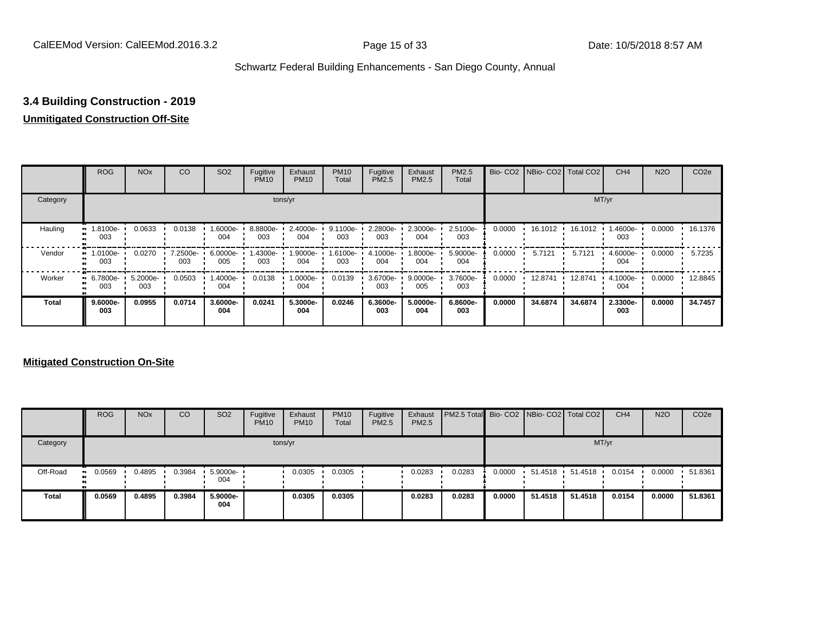## **3.4 Building Construction - 2019**

## **Unmitigated Construction Off-Site**

|              | <b>ROG</b>          | <b>NO<sub>x</sub></b> | CO              | SO <sub>2</sub>  | Fugitive<br><b>PM10</b> | Exhaust<br><b>PM10</b> | <b>PM10</b><br>Total | Fugitive<br>PM2.5 | Exhaust<br>PM2.5 | <b>PM2.5</b><br>Total |        | Bio- CO2   NBio- CO2   Total CO2 |         | CH <sub>4</sub> | <b>N2O</b> | CO <sub>2e</sub> |
|--------------|---------------------|-----------------------|-----------------|------------------|-------------------------|------------------------|----------------------|-------------------|------------------|-----------------------|--------|----------------------------------|---------|-----------------|------------|------------------|
| Category     |                     |                       |                 |                  |                         | tons/yr                |                      |                   |                  |                       |        |                                  |         | MT/yr           |            |                  |
| Hauling      | -.8100e<br>003      | 0.0633                | 0.0138          | -6000e.<br>004   | 8.8800e-<br>003         | 2.4000e-<br>004        | 9.1100e-<br>003      | 2.2800e-<br>003   | 2.3000e-<br>004  | 2.5100e-<br>003       | 0.0000 | 16.1012 ·                        | 16.1012 | 1.4600e-<br>003 | 0.0000     | 16.1376          |
| Vendor       | -0100e-<br>œ<br>003 | 0.0270                | 7.2500e-<br>003 | 6.0000e-<br>005  | 1.4300e-<br>003         | 1.9000e-<br>004        | 1.6100e-<br>003      | 4.1000e-<br>004   | -8000e-<br>004   | 5.9000e-<br>004       | 0.0000 | 5.7121                           | 5.7121  | 4.6000e-<br>004 | 0.0000     | 5.7235           |
| Worker       | 6.7800e-<br>003     | 5.2000e-<br>003       | 0.0503          | $.4000e-$<br>004 | 0.0138                  | 1.0000e-<br>004        | 0.0139               | 3.6700e-<br>003   | 9.0000e-<br>005  | 3.7600e-<br>003       | 0.0000 | 12.8741                          | 12.8741 | 4.1000e-<br>004 | 0.0000     | 12.8845          |
| <b>Total</b> | $9.6000e-$<br>003   | 0.0955                | 0.0714          | 3.6000e-<br>004  | 0.0241                  | 5.3000e-<br>004        | 0.0246               | 6.3600e-<br>003   | 5.0000e-<br>004  | 6.8600e-<br>003       | 0.0000 | 34.6874                          | 34.6874 | 2.3300e-<br>003 | 0.0000     | 34.7457          |

|          | <b>ROG</b>           | <b>NO<sub>x</sub></b> | CO     | SO <sub>2</sub>    | Fugitive<br><b>PM10</b> | Exhaust<br><b>PM10</b> | <b>PM10</b><br><b>Total</b> | Fugitive<br>PM2.5 | Exhaust<br><b>PM2.5</b> | <b>PM2.5 Total</b> Bio- CO2 NBio- CO2 Total CO2 |        |           |         | CH <sub>4</sub> | <b>N2O</b> | CO <sub>2e</sub> |
|----------|----------------------|-----------------------|--------|--------------------|-------------------------|------------------------|-----------------------------|-------------------|-------------------------|-------------------------------------------------|--------|-----------|---------|-----------------|------------|------------------|
| Category |                      |                       |        |                    |                         | tons/yr                |                             |                   |                         |                                                 |        |           |         | MT/yr           |            |                  |
| Off-Road | 0.0569<br><b>ALC</b> | 0.4895                | 0.3984 | $5.9000e -$<br>004 |                         | 0.0305                 | 0.0305                      |                   | 0.0283                  | 0.0283                                          | 0.0000 | 51.4518 · | 51.4518 | 0.0154          | 0.0000     | 51.8361          |
| Total    | 0.0569               | 0.4895                | 0.3984 | 5.9000e-<br>004    |                         | 0.0305                 | 0.0305                      |                   | 0.0283                  | 0.0283                                          | 0.0000 | 51.4518   | 51.4518 | 0.0154          | 0.0000     | 51.8361          |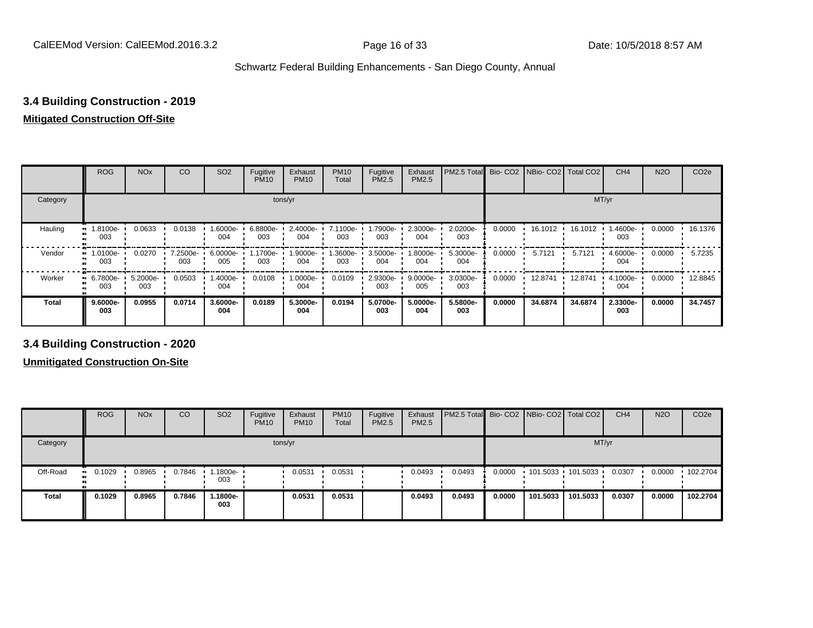## **3.4 Building Construction - 2019**

#### **Mitigated Construction Off-Site**

|              | <b>ROG</b>                   | <b>NO<sub>x</sub></b> | CO              | SO <sub>2</sub> | Fugitive<br><b>PM10</b> | Exhaust<br><b>PM10</b> | <b>PM10</b><br>Total | Fugitive<br>PM2.5 | Exhaust<br>PM2.5 | PM2.5 Total     |        | Bio- CO2   NBio- CO2   Total CO2 |         | CH <sub>4</sub> | <b>N2O</b> | CO <sub>2e</sub> |
|--------------|------------------------------|-----------------------|-----------------|-----------------|-------------------------|------------------------|----------------------|-------------------|------------------|-----------------|--------|----------------------------------|---------|-----------------|------------|------------------|
| Category     |                              |                       |                 |                 | tons/yr                 |                        |                      |                   |                  |                 |        |                                  | MT/yr   |                 |            |                  |
| Hauling      | .8100e-<br>003               | 0.0633                | 0.0138          | 1.6000e-<br>004 | 6.8800e-<br>003         | 2.4000e-<br>004        | 7.1100e-<br>003      | 1.7900e-<br>003   | 2.3000e-<br>004  | 2.0200e-<br>003 | 0.0000 | 16.1012                          | 16.1012 | 1.4600e-<br>003 | 0.0000     | 16.1376          |
| Vendor       | 1.0100e-<br>$\bullet$<br>003 | 0.0270                | 7.2500e-<br>003 | 6.0000e-<br>005 | 1.1700e-<br>003         | 1.9000e-<br>004        | 1.3600e-<br>003      | 3.5000e-<br>004   | .8000e-<br>004   | 5.3000e-<br>004 | 0.0000 | 5.7121                           | 5.7121  | 4.6000e-<br>004 | 0.0000     | 5.7235           |
| Worker       | 6.7800e-<br>$\bullet$<br>003 | 5.2000e-<br>003       | 0.0503          | -.4000e<br>004  | 0.0108                  | 1.0000e-<br>004        | 0.0109               | 2.9300e-<br>003   | 9.0000e-<br>005  | 3.0300e-<br>003 | 0.0000 | 12.8741                          | 12.8741 | 4.1000e-<br>004 | 0.0000     | 12.8845          |
| <b>Total</b> | 9.6000e-<br>003              | 0.0955                | 0.0714          | 3.6000e-<br>004 | 0.0189                  | 5.3000e-<br>004        | 0.0194               | 5.0700e-<br>003   | 5.0000e-<br>004  | 5.5800e-<br>003 | 0.0000 | 34.6874                          | 34.6874 | 2.3300e-<br>003 | 0.0000     | 34.7457          |

**3.4 Building Construction - 2020**

|              | <b>ROG</b>          | <b>NO<sub>x</sub></b> | CO     | SO <sub>2</sub>  | Fugitive<br><b>PM10</b> | Exhaust<br><b>PM10</b> | <b>PM10</b><br>Total | Fugitive<br><b>PM2.5</b> | Exhaust<br>PM2.5 | <b>PM2.5 Total</b> Bio- CO2 NBio- CO2   Total CO2 |        |          |                     | CH <sub>4</sub> | <b>N2O</b> | CO <sub>2e</sub> |
|--------------|---------------------|-----------------------|--------|------------------|-------------------------|------------------------|----------------------|--------------------------|------------------|---------------------------------------------------|--------|----------|---------------------|-----------------|------------|------------------|
| Category     |                     |                       |        |                  |                         | tons/yr                |                      |                          |                  |                                                   |        |          |                     | MT/yr           |            |                  |
| Off-Road     | 0.1029<br><b>BL</b> | 0.8965                | 0.7846 | .1800e- '<br>003 |                         | 0.0531                 | 0.0531               |                          | 0.0493           | 0.0493                                            | 0.0000 |          | 101.5033 101.5033 ' | 0.0307          | 0.0000     | 102.2704         |
| <b>Total</b> | 0.1029              | 0.8965                | 0.7846 | .1800e-<br>003   |                         | 0.0531                 | 0.0531               |                          | 0.0493           | 0.0493                                            | 0.0000 | 101.5033 | 101.5033            | 0.0307          | 0.0000     | 102.2704         |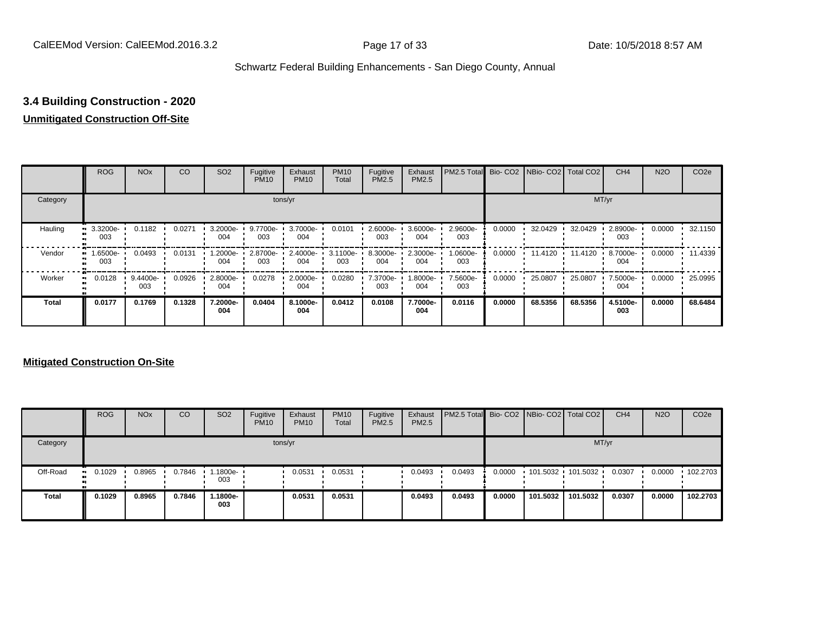## **3.4 Building Construction - 2020**

## **Unmitigated Construction Off-Site**

|              | <b>ROG</b>             | <b>NO<sub>x</sub></b> | CO     | SO <sub>2</sub> | Fugitive<br><b>PM10</b> | Exhaust<br><b>PM10</b> | <b>PM10</b><br>Total | Fugitive<br>PM2.5 | Exhaust<br>PM2.5 | PM2.5 Total Bio- CO2 NBio- CO2 Total CO2 |        |         |         | CH <sub>4</sub> | <b>N2O</b> | CO <sub>2e</sub> |
|--------------|------------------------|-----------------------|--------|-----------------|-------------------------|------------------------|----------------------|-------------------|------------------|------------------------------------------|--------|---------|---------|-----------------|------------|------------------|
| Category     |                        |                       |        |                 |                         | tons/yr                |                      |                   |                  |                                          |        |         | MT/yr   |                 |            |                  |
| Hauling      | 3.3200e-<br>ш<br>003   | 0.1182                | 0.0271 | 3.2000e-<br>004 | 9.7700e-<br>003         | 3.7000e-<br>004        | 0.0101               | 2.6000e-<br>003   | 3.6000e-<br>004  | 2.9600e-<br>003                          | 0.0000 | 32.0429 | 32.0429 | 2.8900e-<br>003 | 0.0000     | 32.1150          |
| Vendor<br>œ  | -6500e-<br>003         | 0.0493                | 0.0131 | -2000e.<br>004  | 2.8700e-<br>003         | 2.4000e-<br>004        | 3.1100e-<br>003      | 8.3000e-<br>004   | 2.3000e-<br>004  | 1.0600e-<br>003                          | 0.0000 | 11.4120 | 11.4120 | 8.7000e-<br>004 | 0.0000     | 11.4339          |
| Worker       | 0.0128<br>$\mathbf{u}$ | 9.4400e-<br>003       | 0.0926 | 2.8000e-<br>004 | 0.0278                  | 2.0000e-<br>004        | 0.0280               | 7.3700e-<br>003   | -8000e.<br>004   | 7.5600e-<br>003                          | 0.0000 | 25.0807 | 25.0807 | 7.5000e-<br>004 | 0.0000     | 25.0995          |
| <b>Total</b> | 0.0177                 | 0.1769                | 0.1328 | 7.2000e-<br>004 | 0.0404                  | 8.1000e-<br>004        | 0.0412               | 0.0108            | 7.7000e-<br>004  | 0.0116                                   | 0.0000 | 68.5356 | 68.5356 | 4.5100e-<br>003 | 0.0000     | 68.6484          |

|              | <b>ROG</b>            | <b>NO<sub>x</sub></b> | CO     | SO <sub>2</sub>   | Fugitive<br><b>PM10</b> | Exhaust<br><b>PM10</b> | <b>PM10</b><br><b>Total</b> | Fugitive<br><b>PM2.5</b> | Exhaust<br><b>PM2.5</b> | <b>PM2.5 Total</b> Bio- CO2 NBio- CO2 Total CO2 |        |          |                     | CH <sub>4</sub> | <b>N2O</b> | CO <sub>2e</sub> |
|--------------|-----------------------|-----------------------|--------|-------------------|-------------------------|------------------------|-----------------------------|--------------------------|-------------------------|-------------------------------------------------|--------|----------|---------------------|-----------------|------------|------------------|
| Category     |                       |                       |        |                   |                         | tons/yr                |                             |                          |                         |                                                 |        |          |                     | MT/yr           |            |                  |
| Off-Road     | $\blacksquare$ 0.1029 | 0.8965                | 0.7846 | 1.1800e- 1<br>003 |                         | 0.0531                 | 0.0531                      |                          | 0.0493                  | 0.0493                                          | 0.0000 |          | $101.5032$ 101.5032 | 0.0307          | 0.0000     | $\cdot$ 102.2703 |
| <b>Total</b> | 0.1029                | 0.8965                | 0.7846 | -.1800e<br>003    |                         | 0.0531                 | 0.0531                      |                          | 0.0493                  | 0.0493                                          | 0.0000 | 101.5032 | 101.5032            | 0.0307          | 0.0000     | 102.2703         |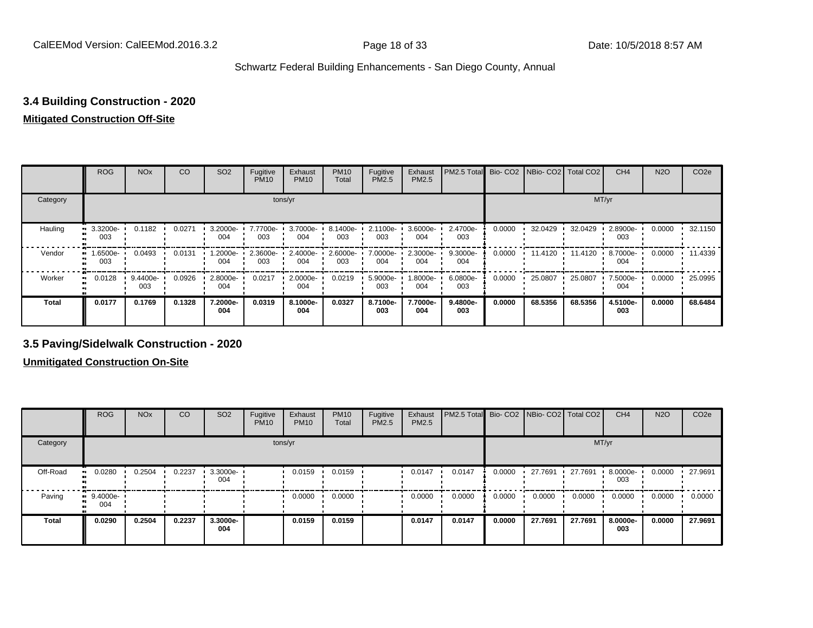## **3.4 Building Construction - 2020**

#### **Mitigated Construction Off-Site**

|              | <b>ROG</b>      | <b>NO<sub>x</sub></b> | CO     | SO <sub>2</sub> | Fugitive<br><b>PM10</b> | Exhaust<br><b>PM10</b> | <b>PM10</b><br>Total | Fugitive<br><b>PM2.5</b> | Exhaust<br>PM2.5 | PM2.5 Total Bio- CO2 NBio- CO2 Total CO2 |        |         |         | CH <sub>4</sub> | <b>N2O</b> | CO <sub>2e</sub> |
|--------------|-----------------|-----------------------|--------|-----------------|-------------------------|------------------------|----------------------|--------------------------|------------------|------------------------------------------|--------|---------|---------|-----------------|------------|------------------|
| Category     |                 |                       |        |                 |                         | tons/yr                |                      |                          |                  |                                          |        |         | MT/yr   |                 |            |                  |
| Hauling      | 3.3200e-<br>003 | 0.1182                | 0.0271 | 3.2000e-<br>004 | 7.7700e-<br>003         | 3.7000e-<br>004        | 8.1400e-<br>003      | 2.1100e-<br>003          | 3.6000e-<br>004  | 2.4700e-<br>003                          | 0.0000 | 32.0429 | 32.0429 | 2.8900e-<br>003 | 0.0000     | 32.1150          |
| Vendor<br>m  | --6500e<br>003  | 0.0493                | 0.0131 | -2000e.<br>004  | 2.3600e-<br>003         | 2.4000e-<br>004        | 2.6000e-<br>003      | 7.0000e-<br>004          | 2.3000e-<br>004  | 9.3000e-<br>004                          | 0.0000 | 11.4120 | 11.4120 | 8.7000e-<br>004 | 0.0000     | 11.4339          |
| Worker<br>m  | 0.0128          | 9.4400e-<br>003       | 0.0926 | 2.8000e-<br>004 | 0.0217                  | 2.0000e-<br>004        | 0.0219               | 5.9000e-<br>003          | -8000e.<br>004   | 6.0800e-<br>003                          | 0.0000 | 25.0807 | 25.0807 | 7.5000e-<br>004 | 0.0000     | 25.0995          |
| <b>Total</b> | 0.0177          | 0.1769                | 0.1328 | 7.2000e-<br>004 | 0.0319                  | 8.1000e-<br>004        | 0.0327               | 8.7100e-<br>003          | 7.7000e-<br>004  | 9.4800e-<br>003                          | 0.0000 | 68.5356 | 68.5356 | 4.5100e-<br>003 | 0.0000     | 68.6484          |

#### **3.5 Paving/Sidelwalk Construction - 2020**

|              | <b>ROG</b>        | <b>NO<sub>x</sub></b> | CO     | SO <sub>2</sub> | Fugitive<br><b>PM10</b> | Exhaust<br><b>PM10</b> | <b>PM10</b><br>Total | Fugitive<br><b>PM2.5</b> | Exhaust<br><b>PM2.5</b> | PM2.5 Total Bio- CO2 NBio- CO2 Total CO2 |        |         |         | CH <sub>4</sub> | <b>N2O</b> | CO <sub>2e</sub> |
|--------------|-------------------|-----------------------|--------|-----------------|-------------------------|------------------------|----------------------|--------------------------|-------------------------|------------------------------------------|--------|---------|---------|-----------------|------------|------------------|
| Category     |                   |                       |        |                 |                         | tons/yr                |                      |                          |                         |                                          |        |         | MT/yr   |                 |            |                  |
| Off-Road     | 0.0280            | 0.2504                | 0.2237 | 3.3000e-<br>004 |                         | 0.0159                 | 0.0159               |                          | 0.0147                  | 0.0147                                   | 0.0000 | 27.7691 | 27.7691 | 8.0000e-<br>003 | 0.0000     | 27.9691          |
| Paving       | $9.4000e-$<br>004 |                       |        |                 |                         | 0.0000                 | 0.0000               |                          | 0.0000                  | 0.0000                                   | 0.0000 | 0.0000  | 0.0000  | 0.0000          | 0.0000     | 0.0000           |
| <b>Total</b> | 0.0290            | 0.2504                | 0.2237 | 3.3000e-<br>004 |                         | 0.0159                 | 0.0159               |                          | 0.0147                  | 0.0147                                   | 0.0000 | 27.7691 | 27.7691 | 8.0000e-<br>003 | 0.0000     | 27.9691          |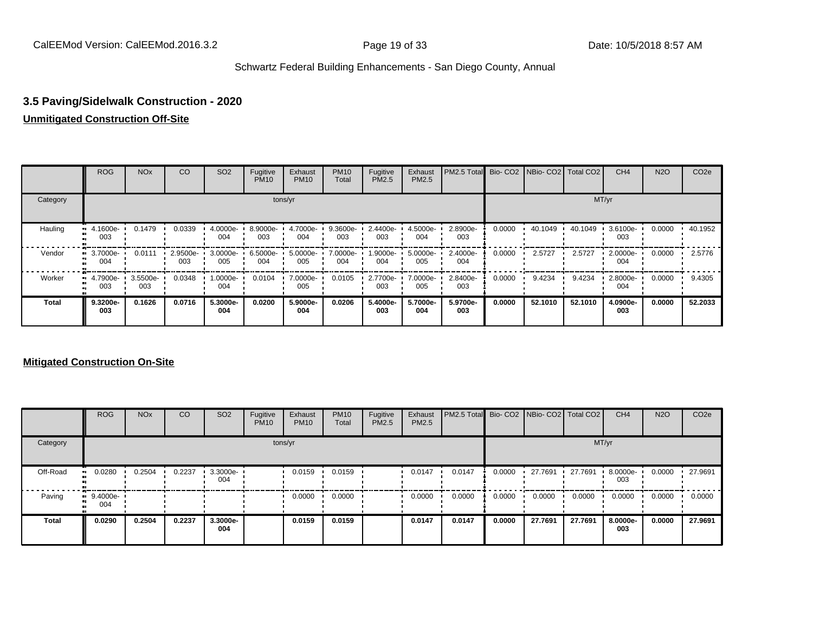## **3.5 Paving/Sidelwalk Construction - 2020**

#### **Unmitigated Construction Off-Site**

|          | <b>ROG</b>      | <b>NO<sub>x</sub></b> | CO              | SO <sub>2</sub> | Fugitive<br><b>PM10</b> | Exhaust<br><b>PM10</b> | <b>PM10</b><br>Total | Fugitive<br><b>PM2.5</b> | Exhaust<br>PM2.5 | PM2.5 Total Bio- CO2 NBio- CO2 Total CO2 |        |         |         | CH <sub>4</sub> | <b>N2O</b> | CO <sub>2e</sub> |
|----------|-----------------|-----------------------|-----------------|-----------------|-------------------------|------------------------|----------------------|--------------------------|------------------|------------------------------------------|--------|---------|---------|-----------------|------------|------------------|
| Category |                 |                       |                 |                 |                         | tons/yr                |                      |                          |                  |                                          |        |         |         | MT/yr           |            |                  |
| Hauling  | 4.1600e-<br>003 | 0.1479                | 0.0339          | 4.0000e-<br>004 | 8.9000e-<br>003         | 4.7000e-<br>004        | 9.3600e-<br>003      | 2.4400e-<br>003          | 4.5000e-<br>004  | 2.8900e-<br>003                          | 0.0000 | 40.1049 | 40.1049 | 3.6100e-<br>003 | 0.0000     | 40.1952          |
| Vendor   | 3.7000e-<br>004 | 0.0111                | 2.9500e-<br>003 | 3.0000e-<br>005 | 6.5000e-<br>004         | 5.0000e-<br>005        | 7.0000e-<br>004      | 1.9000e-<br>004          | 5.0000e-<br>005  | 2.4000e-<br>004                          | 0.0000 | 2.5727  | 2.5727  | 2.0000e-<br>004 | 0.0000     | 2.5776           |
| Worker   | 4.7900e-<br>003 | 3.5500e-<br>003       | 0.0348          | -.0000e<br>004  | 0.0104                  | 7.0000e-<br>005        | 0.0105               | 2.7700e-<br>003          | 7.0000e-<br>005  | 2.8400e-<br>003                          | 0.0000 | 9.4234  | 9.4234  | 2.8000e-<br>004 | 0.0000     | 9.4305           |
| Total    | 9.3200e-<br>003 | 0.1626                | 0.0716          | 5.3000e-<br>004 | 0.0200                  | 5.9000e-<br>004        | 0.0206               | 5.4000e-<br>003          | 5.7000e-<br>004  | 5.9700e-<br>003                          | 0.0000 | 52.1010 | 52.1010 | 4.0900e-<br>003 | 0.0000     | 52.2033          |

|              | <b>ROG</b>        | <b>NO<sub>x</sub></b> | CO     | SO <sub>2</sub> | Fugitive<br><b>PM10</b> | Exhaust<br><b>PM10</b> | <b>PM10</b><br>Total | Fugitive<br><b>PM2.5</b> | Exhaust<br>PM2.5 | <b>PM2.5 Total</b> Bio- CO2 NBio- CO2 Total CO2 |        |         |         | CH <sub>4</sub> | <b>N2O</b> | CO <sub>2e</sub> |
|--------------|-------------------|-----------------------|--------|-----------------|-------------------------|------------------------|----------------------|--------------------------|------------------|-------------------------------------------------|--------|---------|---------|-----------------|------------|------------------|
| Category     |                   |                       |        |                 | tons/yr                 |                        |                      |                          |                  |                                                 |        |         | MT/yr   |                 |            |                  |
| Off-Road     | 0.0280<br>. .     | 0.2504                | 0.2237 | 3.3000e-<br>004 |                         | 0.0159                 | 0.0159               |                          | 0.0147           | 0.0147                                          | 0.0000 | 27.7691 | 27.7691 | 8.0000e-<br>003 | 0.0000     | 27.9691          |
| Paving       | $9.4000e-$<br>004 |                       |        |                 |                         | 0.0000                 | 0.0000               |                          | 0.0000           | 0.0000                                          | 0.0000 | 0.0000  | 0.0000  | 0.0000          | 0.0000     | 0.0000           |
| <b>Total</b> | 0.0290            | 0.2504                | 0.2237 | 3.3000e-<br>004 |                         | 0.0159                 | 0.0159               |                          | 0.0147           | 0.0147                                          | 0.0000 | 27.7691 | 27.7691 | 8.0000e-<br>003 | 0.0000     | 27.9691          |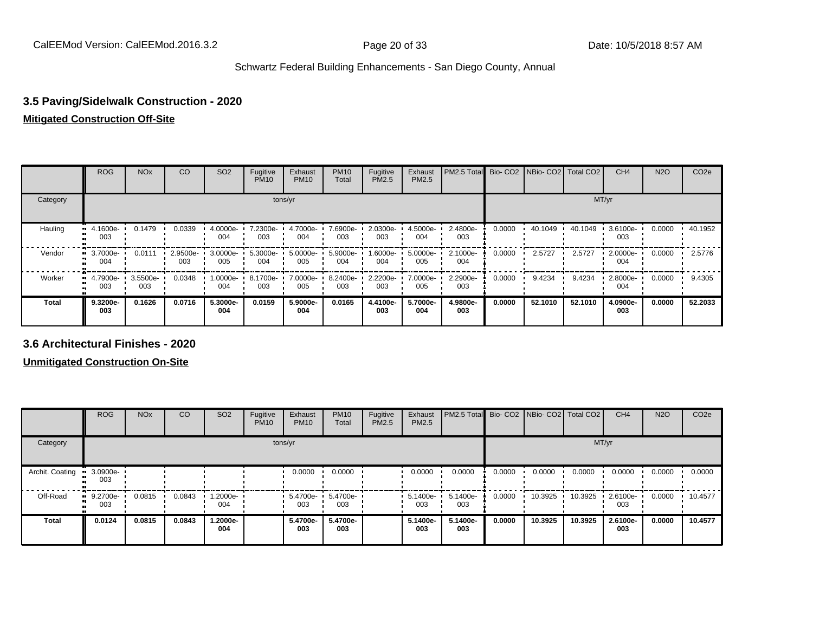## **3.5 Paving/Sidelwalk Construction - 2020**

#### **Mitigated Construction Off-Site**

|              | <b>ROG</b>           | <b>NO<sub>x</sub></b> | CO              | SO <sub>2</sub> | Fugitive<br><b>PM10</b> | Exhaust<br><b>PM10</b> | <b>PM10</b><br>Total | Fugitive<br><b>PM2.5</b> | Exhaust<br>PM2.5 | PM2.5 Total Bio- CO2 NBio- CO2 Total CO2 |        |         |         | CH <sub>4</sub> | <b>N2O</b> | CO <sub>2e</sub> |
|--------------|----------------------|-----------------------|-----------------|-----------------|-------------------------|------------------------|----------------------|--------------------------|------------------|------------------------------------------|--------|---------|---------|-----------------|------------|------------------|
| Category     |                      |                       |                 |                 |                         | tons/yr                |                      |                          |                  |                                          |        |         | MT/yr   |                 |            |                  |
| Hauling      | 4.1600e-<br>ш<br>003 | 0.1479                | 0.0339          | 4.0000e-<br>004 | 7.2300e-<br>003         | 4.7000e-<br>004        | 7.6900e-<br>003      | 2.0300e-<br>003          | 4.5000e-<br>004  | 2.4800e-<br>003                          | 0.0000 | 40.1049 | 40.1049 | 3.6100e-<br>003 | 0.0000     | 40.1952          |
| Vendor       | 3.7000e-<br>ш<br>004 | 0.0111                | 2.9500e-<br>003 | 3.0000e-<br>005 | 5.3000e-<br>004         | 5.0000e-<br>005        | 5.9000e-<br>004      | 1.6000e-<br>004          | 5.0000e-<br>005  | 2.1000e-<br>004                          | 0.0000 | 2.5727  | 2.5727  | 2.0000e-<br>004 | 0.0000     | 2.5776           |
| Worker       | 4.7900e-<br>003      | 3.5500e-<br>003       | 0.0348          | -:0000e<br>004  | 8.1700e-<br>003         | 7.0000e-<br>005        | 8.2400e-<br>003      | 2.2200e-<br>003          | 7.0000e-<br>005  | 2.2900e-<br>003                          | 0.0000 | 9.4234  | 9.4234  | 2.8000e-<br>004 | 0.0000     | 9.4305           |
| <b>Total</b> | 9.3200e-<br>003      | 0.1626                | 0.0716          | 5.3000e-<br>004 | 0.0159                  | 5.9000e-<br>004        | 0.0165               | 4.4100e-<br>003          | 5.7000e-<br>004  | 4.9800e-<br>003                          | 0.0000 | 52.1010 | 52.1010 | 4.0900e-<br>003 | 0.0000     | 52.2033          |

**3.6 Architectural Finishes - 2020**

|                 | <b>ROG</b>        | <b>NO<sub>x</sub></b> | CO     | SO <sub>2</sub> | Fugitive<br><b>PM10</b> | Exhaust<br><b>PM10</b>       | <b>PM10</b><br>Total | Fugitive<br><b>PM2.5</b> | Exhaust<br><b>PM2.5</b> | PM2.5 Total Bio- CO2 NBio- CO2 Total CO2 |        |         |         | CH <sub>4</sub> | <b>N2O</b> | CO <sub>2e</sub> |
|-----------------|-------------------|-----------------------|--------|-----------------|-------------------------|------------------------------|----------------------|--------------------------|-------------------------|------------------------------------------|--------|---------|---------|-----------------|------------|------------------|
| Category        |                   |                       |        |                 |                         | tons/yr                      |                      |                          |                         |                                          |        |         | MT/yr   |                 |            |                  |
| Archit. Coating | 3.0900e-<br>003   |                       |        |                 |                         | 0.0000                       | 0.0000               |                          | 0.0000                  | 0.0000                                   | 0.0000 | 0.0000  | 0.0000  | 0.0000          | 0.0000     | 0.0000           |
| Off-Road        | $9.2700e-$<br>003 | 0.0815                | 0.0843 | 1.2000e-<br>004 |                         | $: 5.4700e - 5.4700e$<br>003 | 003                  |                          | 5.1400e-<br>003         | 5.1400e-<br>003                          | 0.0000 | 10.3925 | 10.3925 | 2.6100e-<br>003 | 0.0000     | 10.4577          |
| <b>Total</b>    | 0.0124            | 0.0815                | 0.0843 | 1.2000e-<br>004 |                         | 5.4700e-<br>003              | 5.4700e-<br>003      |                          | 5.1400e-<br>003         | 5.1400e-<br>003                          | 0.0000 | 10.3925 | 10.3925 | 2.6100e-<br>003 | 0.0000     | 10.4577          |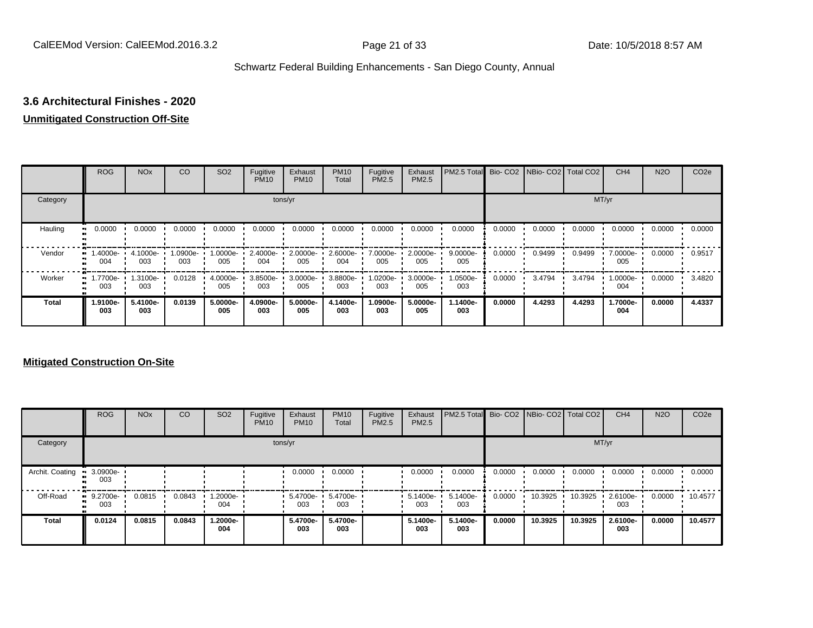## **3.6 Architectural Finishes - 2020**

#### **Unmitigated Construction Off-Site**

|              | <b>ROG</b>                   | <b>NO<sub>x</sub></b> | CO             | SO <sub>2</sub> | Fugitive<br><b>PM10</b> | Exhaust<br><b>PM10</b> | <b>PM10</b><br>Total | Fugitive<br><b>PM2.5</b> | Exhaust<br>PM2.5 | PM2.5 Total        |        | Bio- CO2 NBio- CO2 Total CO2 |        | CH <sub>4</sub> | <b>N2O</b> | CO <sub>2e</sub> |
|--------------|------------------------------|-----------------------|----------------|-----------------|-------------------------|------------------------|----------------------|--------------------------|------------------|--------------------|--------|------------------------------|--------|-----------------|------------|------------------|
| Category     |                              |                       |                |                 |                         | tons/yr                |                      |                          |                  |                    |        |                              |        | MT/yr           |            |                  |
| Hauling      | 0.0000                       | 0.0000                | 0.0000         | 0.0000          | 0.0000                  | 0.0000                 | 0.0000               | 0.0000                   | 0.0000           | 0.0000             | 0.0000 | 0.0000                       | 0.0000 | 0.0000          | 0.0000     | 0.0000           |
| Vendor<br>œ  | -.4000e<br>004               | 4.1000e-<br>003       | -0900e-<br>003 | 1.0000e-<br>005 | 2.4000e-<br>004         | 2.0000e-<br>005        | 2.6000e-<br>004      | 7.0000e-<br>005          | 2.0000e-<br>005  | $9.0000e -$<br>005 | 0.0000 | 0.9499                       | 0.9499 | 7.0000e-<br>005 | 0.0000     | 0.9517           |
| Worker       | 1.7700e-<br>$\bullet$<br>003 | 1.3100e-<br>003       | 0.0128         | 4.0000e-<br>005 | 3.8500e-<br>003         | 3.0000e-<br>005        | 3.8800e-<br>003      | 1.0200e-<br>003          | 3.0000e-<br>005  | 1.0500e-<br>003    | 0.0000 | 3.4794                       | 3.4794 | 1.0000e-<br>004 | 0.0000     | 3.4820           |
| <b>Total</b> | 1.9100e-<br>003              | 5.4100e-<br>003       | 0.0139         | 5.0000e-<br>005 | 4.0900e-<br>003         | 5.0000e-<br>005        | 4.1400e-<br>003      | 1.0900e-<br>003          | 5.0000e-<br>005  | 1.1400e-<br>003    | 0.0000 | 4.4293                       | 4.4293 | 1.7000e-<br>004 | 0.0000     | 4.4337           |

|                 | <b>ROG</b>         | <b>NO<sub>x</sub></b> | CO     | SO <sub>2</sub>  | Fugitive<br><b>PM10</b> | Exhaust<br><b>PM10</b> | <b>PM10</b><br>Total | Fugitive<br><b>PM2.5</b> | Exhaust<br><b>PM2.5</b> | PM2.5 Total Bio- CO2 NBio- CO2 Total CO2 |        |         |         | CH <sub>4</sub> | <b>N2O</b> | CO <sub>2e</sub> |
|-----------------|--------------------|-----------------------|--------|------------------|-------------------------|------------------------|----------------------|--------------------------|-------------------------|------------------------------------------|--------|---------|---------|-----------------|------------|------------------|
| Category        |                    |                       |        |                  |                         | tons/yr                |                      |                          |                         |                                          |        |         |         | MT/yr           |            |                  |
| Archit. Coating | 3.0900e-<br>003    |                       |        |                  |                         | 0.0000                 | 0.0000               |                          | 0.0000                  | 0.0000                                   | 0.0000 | 0.0000  | 0.0000  | 0.0000          | 0.0000     | 0.0000           |
| Off-Road        | $-9.2700e-$<br>003 | 0.0815                | 0.0843 | --2000e.l<br>004 |                         | 5.4700e-<br>003        | 5.4700e-<br>003      |                          | $-5.1400e-$<br>003      | 5.1400e-<br>003                          | 0.0000 | 10.3925 | 10.3925 | 2.6100e-<br>003 | 0.0000     | 10.4577          |
| <b>Total</b>    | 0.0124             | 0.0815                | 0.0843 | -2000e.<br>004   |                         | 5.4700e-<br>003        | 5.4700e-<br>003      |                          | 5.1400e-<br>003         | 5.1400e-<br>003                          | 0.0000 | 10.3925 | 10.3925 | 2.6100e-<br>003 | 0.0000     | 10.4577          |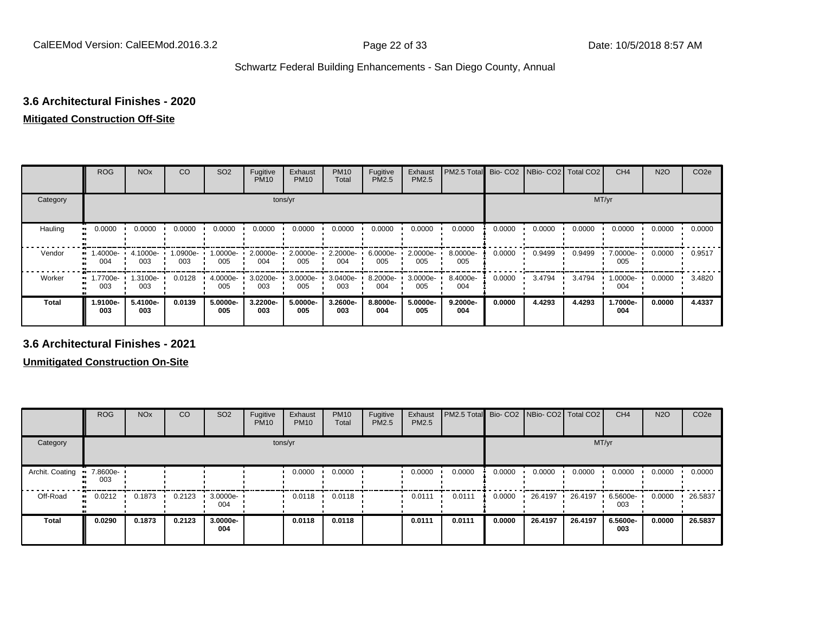## **3.6 Architectural Finishes - 2020**

#### **Mitigated Construction Off-Site**

|                     | <b>ROG</b>      | <b>NO<sub>x</sub></b> | CO              | SO <sub>2</sub> | Fugitive<br><b>PM10</b> | Exhaust<br><b>PM10</b> | <b>PM10</b><br>Total | Fugitive<br>PM2.5 | Exhaust<br>PM2.5 | PM2.5 Total       |        | Bio- CO2 NBio- CO2 Total CO2 |        | CH <sub>4</sub> | <b>N2O</b> | CO <sub>2e</sub> |
|---------------------|-----------------|-----------------------|-----------------|-----------------|-------------------------|------------------------|----------------------|-------------------|------------------|-------------------|--------|------------------------------|--------|-----------------|------------|------------------|
| Category            |                 |                       |                 |                 | tons/yr                 |                        |                      |                   |                  |                   |        |                              | MT/yr  |                 |            |                  |
| Hauling<br>81       | 0.0000          | 0.0000                | 0.0000          | 0.0000          | 0.0000                  | 0.0000                 | 0.0000               | 0.0000            | 0.0000           | 0.0000            | 0.0000 | 0.0000                       | 0.0000 | 0.0000          | 0.0000     | 0.0000           |
| Vendor              | .4000e-<br>004  | 4.1000e-<br>003       | 1.0900e-<br>003 | 1.0000e-<br>005 | 2.0000e-<br>004         | 2.0000e-<br>005        | 2.2000e-<br>004      | 6.0000e-<br>005   | 2.0000e-<br>005  | 8.0000e-<br>005   | 0.0000 | 0.9499                       | 0.9499 | 7.0000e-<br>005 | 0.0000     | 0.9517           |
| Worker<br>$\bullet$ | -7700e.<br>003  | 1.3100e-<br>003       | 0.0128          | 4.0000e-<br>005 | $3.0200e -$<br>003      | 3.0000e-<br>005        | 3.0400e-<br>003      | 8.2000e-<br>004   | 3.0000e-<br>005  | 8.4000e-<br>004   | 0.0000 | 3.4794                       | 3.4794 | 1.0000e-<br>004 | 0.0000     | 3.4820           |
| <b>Total</b>        | 1.9100e-<br>003 | 5.4100e-<br>003       | 0.0139          | 5.0000e-<br>005 | 3.2200e-<br>003         | 5.0000e-<br>005        | 3.2600e-<br>003      | 8.8000e-<br>004   | 5.0000e-<br>005  | $9.2000e-$<br>004 | 0.0000 | 4.4293                       | 4.4293 | 1.7000e-<br>004 | 0.0000     | 4.4337           |

**3.6 Architectural Finishes - 2021**

|                       | <b>ROG</b>          | <b>NO<sub>x</sub></b> | CO     | SO <sub>2</sub>     | Fugitive<br><b>PM10</b> | Exhaust<br><b>PM10</b> | <b>PM10</b><br>Total | Fugitive<br><b>PM2.5</b> | Exhaust<br><b>PM2.5</b> | PM2.5 Total Bio- CO2 NBio- CO2 Total CO2 |        |         |         | CH <sub>4</sub> | <b>N2O</b> | CO <sub>2e</sub> |
|-----------------------|---------------------|-----------------------|--------|---------------------|-------------------------|------------------------|----------------------|--------------------------|-------------------------|------------------------------------------|--------|---------|---------|-----------------|------------|------------------|
| Category              |                     |                       |        |                     |                         | tons/yr                |                      |                          |                         |                                          |        |         | MT/yr   |                 |            |                  |
| Archit. Coating<br>-- | 7.8600e-<br>003     |                       |        |                     |                         | 0.0000                 | 0.0000               |                          | 0.0000                  | 0.0000                                   | 0.0000 | 0.0000  | 0.0000  | 0.0000          | 0.0000     | 0.0000           |
| Off-Road              | 0.0212<br>$\bullet$ | 0.1873                | 0.2123 | $-3.0000e -$<br>004 |                         | 0.0118                 | 0.0118               |                          | 0.0111                  | 0.0111                                   | 0.0000 | 26.4197 | 26.4197 | 6.5600e-<br>003 | 0.0000     | 26.5837          |
| <b>Total</b>          | 0.0290              | 0.1873                | 0.2123 | 3.0000e-<br>004     |                         | 0.0118                 | 0.0118               |                          | 0.0111                  | 0.0111                                   | 0.0000 | 26.4197 | 26.4197 | 6.5600e-<br>003 | 0.0000     | 26.5837          |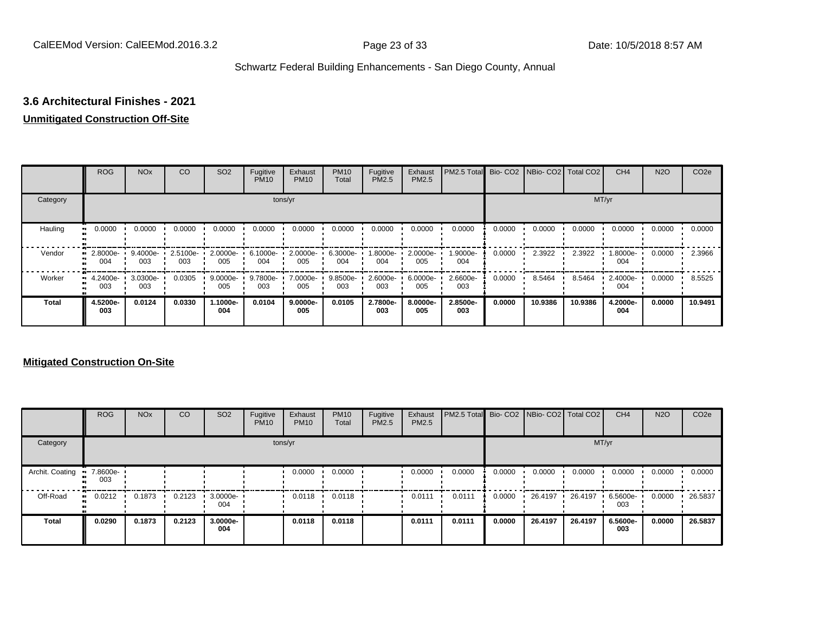## **3.6 Architectural Finishes - 2021**

#### **Unmitigated Construction Off-Site**

|              | <b>ROG</b>            | <b>NO<sub>x</sub></b> | CO              | SO <sub>2</sub>    | Fugitive<br><b>PM10</b> | Exhaust<br><b>PM10</b> | <b>PM10</b><br>Total | Fugitive<br><b>PM2.5</b> | Exhaust<br>PM2.5 | PM2.5 Total     |        | Bio- CO2   NBio- CO2   Total CO2 |         | CH <sub>4</sub> | <b>N2O</b> | CO <sub>2e</sub> |
|--------------|-----------------------|-----------------------|-----------------|--------------------|-------------------------|------------------------|----------------------|--------------------------|------------------|-----------------|--------|----------------------------------|---------|-----------------|------------|------------------|
| Category     |                       |                       |                 |                    |                         | tons/yr                |                      |                          |                  |                 |        |                                  |         | MT/yr           |            |                  |
| Hauling      | 0.0000<br>œ           | 0.0000                | 0.0000          | 0.0000             | 0.0000                  | 0.0000                 | 0.0000               | 0.0000                   | 0.0000           | 0.0000          | 0.0000 | 0.0000                           | 0.0000  | 0.0000          | 0.0000     | 0.0000           |
| Vendor       | 2.8000e-<br>п.<br>004 | 9.4000e-<br>003       | 2.5100e-<br>003 | 2.0000e-<br>005    | 6.1000e-<br>004         | 2.0000e-<br>005        | 6.3000e-<br>004      | 1.8000e-<br>004          | 2.0000e-<br>005  | 1.9000e-<br>004 | 0.0000 | 2.3922                           | 2.3922  | 1.8000e-<br>004 | 0.0000     | 2.3966           |
| Worker       | 4.2400e-<br>œ<br>003  | 3.0300e-<br>003       | 0.0305          | $9.0000e -$<br>005 | 9.7800e-<br>003         | 7.0000e-<br>005        | 9.8500e-<br>003      | 2.6000e-<br>003          | 6.0000e-<br>005  | 2.6600e-<br>003 | 0.0000 | 8.5464                           | 8.5464  | 2.4000e-<br>004 | 0.0000     | 8.5525           |
| <b>Total</b> | 4.5200e-<br>003       | 0.0124                | 0.0330          | 1.1000e-<br>004    | 0.0104                  | $9.0000e -$<br>005     | 0.0105               | 2.7800e-<br>003          | 8.0000e-<br>005  | 2.8500e-<br>003 | 0.0000 | 10.9386                          | 10.9386 | 4.2000e-<br>004 | 0.0000     | 10.9491          |

|                 | <b>ROG</b>           | <b>NO<sub>x</sub></b> | CO     | SO <sub>2</sub> | Fugitive<br><b>PM10</b> | Exhaust<br><b>PM10</b> | <b>PM10</b><br>Total | Fugitive<br><b>PM2.5</b> | Exhaust<br><b>PM2.5</b> | <b>PM2.5 Total</b> Bio- CO2 NBio- CO2 Total CO2 |        |         |         | CH <sub>4</sub> | <b>N2O</b> | CO <sub>2e</sub> |
|-----------------|----------------------|-----------------------|--------|-----------------|-------------------------|------------------------|----------------------|--------------------------|-------------------------|-------------------------------------------------|--------|---------|---------|-----------------|------------|------------------|
| Category        |                      |                       |        |                 |                         | tons/yr                |                      |                          |                         |                                                 |        |         | MT/yr   |                 |            |                  |
| Archit. Coating | 7.8600e-<br>003      |                       |        |                 |                         | 0.0000                 | 0.0000               |                          | 0.0000                  | 0.0000                                          | 0.0000 | 0.0000  | 0.0000  | 0.0000          | 0.0000     | 0.0000           |
| Off-Road        | 0.0212<br><b>COL</b> | 0.1873                | 0.2123 | 3.0000e-<br>004 |                         | 0.0118                 | 0.0118               |                          | 0.0111                  | 0.0111                                          | 0.0000 | 26.4197 | 26.4197 | 6.5600e-<br>003 | 0.0000     | 26.5837          |
| <b>Total</b>    | 0.0290               | 0.1873                | 0.2123 | 3.0000e-<br>004 |                         | 0.0118                 | 0.0118               |                          | 0.0111                  | 0.0111                                          | 0.0000 | 26.4197 | 26.4197 | 6.5600e-<br>003 | 0.0000     | 26.5837          |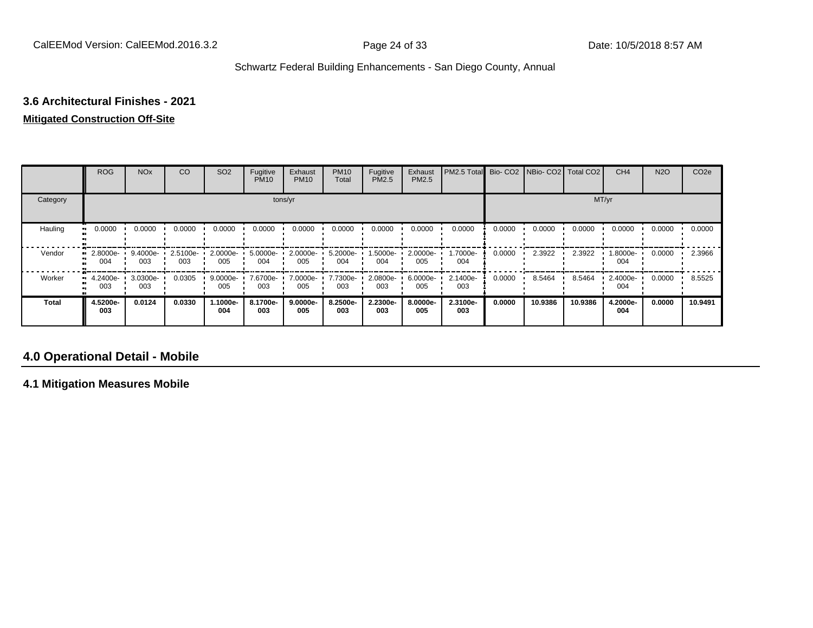## **3.6 Architectural Finishes - 2021**

#### **Mitigated Construction Off-Site**

|              | <b>ROG</b>              | <b>NO<sub>x</sub></b> | CO              | SO <sub>2</sub> | Fugitive<br><b>PM10</b> | Exhaust<br><b>PM10</b> | <b>PM10</b><br>Total | Fugitive<br>PM2.5 | Exhaust<br>PM2.5 | PM2.5 Total     |        | Bio- CO2   NBio- CO2   Total CO2 |         | CH <sub>4</sub> | <b>N2O</b> | CO <sub>2e</sub> |
|--------------|-------------------------|-----------------------|-----------------|-----------------|-------------------------|------------------------|----------------------|-------------------|------------------|-----------------|--------|----------------------------------|---------|-----------------|------------|------------------|
| Category     |                         |                       |                 |                 |                         | tons/yr                |                      |                   |                  |                 |        |                                  | MT/yr   |                 |            |                  |
| Hauling      | 0.0000<br>ш             | 0.0000                | 0.0000          | 0.0000          | 0.0000                  | 0.0000                 | 0.0000               | 0.0000            | 0.0000           | 0.0000          | 0.0000 | 0.0000                           | 0.0000  | 0.0000          | 0.0000     | 0.0000           |
| Vendor       | 2.8000e-<br>004         | 9.4000e-<br>003       | 2.5100e-<br>003 | 2.0000e-<br>005 | 5.0000e-<br>004         | 2.0000e-<br>005        | 5.2000e-<br>004      | 1.5000e-<br>004   | 2.0000e-<br>005  | 1.7000e-<br>004 | 0.0000 | 2.3922                           | 2.3922  | 1.8000e-<br>004 | 0.0000     | 2.3966           |
| Worker       | $\cdot$ 4.2400e-<br>003 | 3.0300e-<br>003       | 0.0305          | 9.0000e-<br>005 | 7.6700e-<br>003         | 7.0000e-<br>005        | 7.7300e-<br>003      | 2.0800e-<br>003   | 6.0000e-<br>005  | 2.1400e-<br>003 | 0.0000 | 8.5464                           | 8.5464  | 2.4000e-<br>004 | 0.0000     | 8.5525           |
| <b>Total</b> | 4.5200e-<br>003         | 0.0124                | 0.0330          | 1.1000e-<br>004 | 8.1700e-<br>003         | 9.0000e-<br>005        | 8.2500e-<br>003      | 2.2300e-<br>003   | 8.0000e-<br>005  | 2.3100e-<br>003 | 0.0000 | 10.9386                          | 10.9386 | 4.2000e-<br>004 | 0.0000     | 10.9491          |

## **4.0 Operational Detail - Mobile**

**4.1 Mitigation Measures Mobile**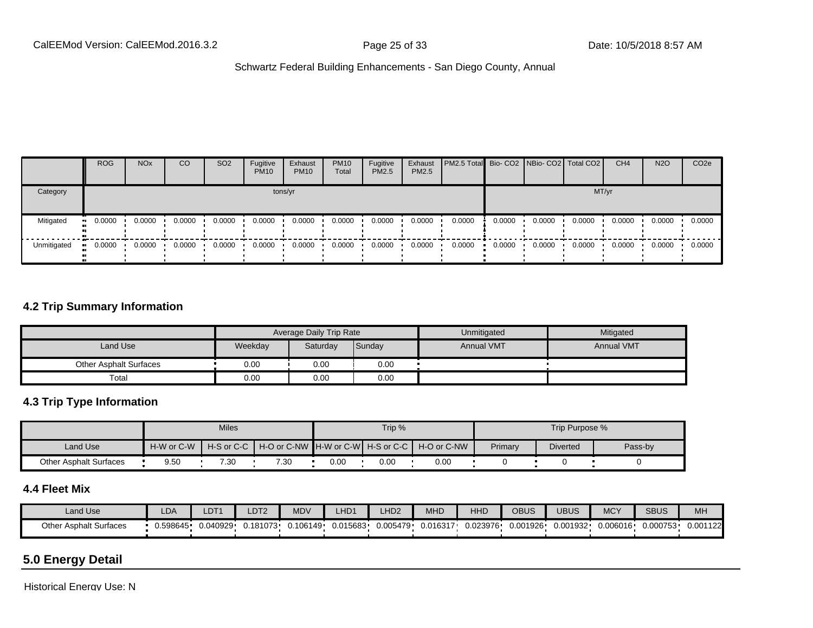|             | <b>ROG</b> | <b>NO<sub>x</sub></b> | CO     | SO <sub>2</sub> | Fugitive<br><b>PM10</b> | Exhaust<br><b>PM10</b> | <b>PM10</b><br>Total | Fugitive<br><b>PM2.5</b> | Exhaust<br>PM2.5 | <b>PM2.5 Total</b> Bio- CO2 NBio- CO2   Total CO2 |        |        |        | CH <sub>4</sub> | <b>N2O</b> | CO <sub>2e</sub> |
|-------------|------------|-----------------------|--------|-----------------|-------------------------|------------------------|----------------------|--------------------------|------------------|---------------------------------------------------|--------|--------|--------|-----------------|------------|------------------|
| Category    |            |                       |        |                 |                         | tons/yr                |                      |                          |                  |                                                   |        |        | MT/yr  |                 |            |                  |
| Mitigated   | 0.0000     | 0.0000                | 0.0000 | 0.0000          | 0.0000                  | 0.0000                 | 0.0000               | 0.0000                   | 0.0000           | 0.0000                                            | 0.0000 | 0.0000 | 0.0000 | 0.0000          | 0.0000     | 0.0000           |
| Unmitigated | 0.0000     | 0.0000                | 0.0000 | 0.0000          | 0.0000                  | 0.0000                 | 0.0000               | 0.0000                   | 0.0000           | 0.0000                                            | 0.0000 | 0.0000 | 0.0000 | 0.0000          | 0.0000     | 0.0000           |

#### **4.2 Trip Summary Information**

|                               |         | Average Daily Trip Rate |        | Unmitigated       | Mitigated         |
|-------------------------------|---------|-------------------------|--------|-------------------|-------------------|
| Land Use                      | Weekday | Saturday                | Sunday | <b>Annual VMT</b> | <b>Annual VMT</b> |
| <b>Other Asphalt Surfaces</b> | 0.00    | 0.00                    | 0.00   |                   |                   |
| Total                         | 0.00    | 0.00                    | 0.00   |                   |                   |

### **4.3 Trip Type Information**

|                               |            | <b>Miles</b> |      |      | Trip % |                                                                |         | Trip Purpose %  |         |
|-------------------------------|------------|--------------|------|------|--------|----------------------------------------------------------------|---------|-----------------|---------|
| Land Use                      | H-W or C-W |              |      |      |        | H-S or C-C │ H-O or C-NW ┃H-W or C-W┃ H-S or C-C ┃ H-O or C-NW | Primary | <b>Diverted</b> | Pass-by |
| <b>Other Asphalt Surfaces</b> | 9.50       | 7.30         | 7.30 | 0.00 | 0.00   | 0.00                                                           |         |                 |         |

## **4.4 Fleet Mix**

| Land Use                      | <b>LDA</b> | LDT <sub>1</sub> | _DT <sub>2</sub> | <b>MDV</b> | HD <sub>1</sub> | LHD <sub>2</sub> | <b>MHD</b> | HHD      | OBUS     | UBUS     | <b>MCY</b> | <b>SBUS</b> | MH       |
|-------------------------------|------------|------------------|------------------|------------|-----------------|------------------|------------|----------|----------|----------|------------|-------------|----------|
| <b>Other Asphalt Surfaces</b> | 0.598645   | 0.040929         | 0.181073         | J.106149   | 0.015683        | 0.005479         | 0.016317   | 0.023976 | 0.001926 | 0.001932 | 0.006016.  | 0.000753    | 0.001122 |

## **5.0 Energy Detail**

Historical Energy Use: N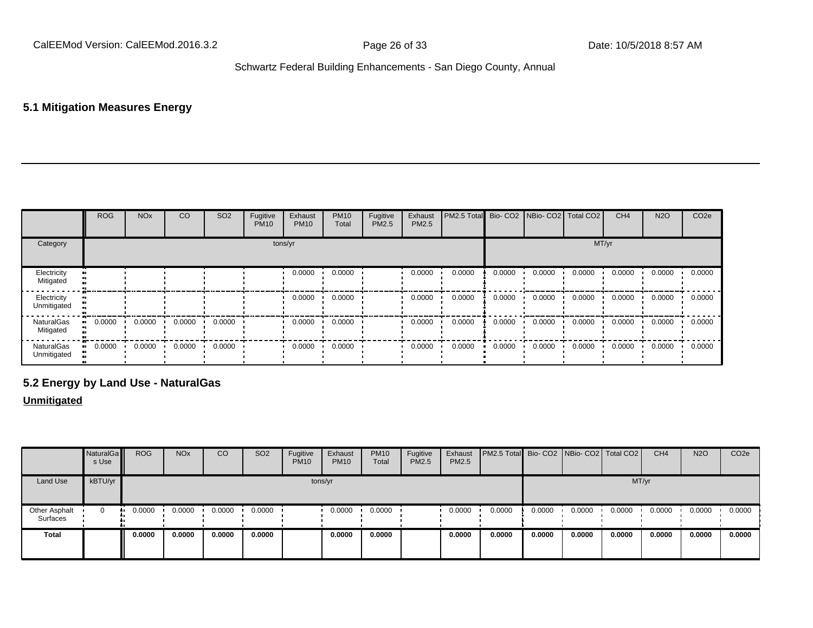## **5.1 Mitigation Measures Energy**

|                                | <b>ROG</b> | <b>NO<sub>x</sub></b> | CO     | SO <sub>2</sub> | Fugitive<br><b>PM10</b> | Exhaust<br><b>PM10</b> | <b>PM10</b><br>Total | Fugitive<br>PM2.5 | Exhaust<br>PM2.5 | PM2.5 Total Bio- CO2 NBio- CO2 Total CO2 |        |        |        | CH <sub>4</sub> | <b>N2O</b> | CO <sub>2e</sub> |
|--------------------------------|------------|-----------------------|--------|-----------------|-------------------------|------------------------|----------------------|-------------------|------------------|------------------------------------------|--------|--------|--------|-----------------|------------|------------------|
| Category                       |            |                       |        |                 |                         | tons/yr                |                      |                   |                  |                                          |        |        | MT/yr  |                 |            |                  |
| Electricity<br>Mitigated       |            |                       |        |                 |                         | 0.0000                 | 0.0000               |                   | 0.0000           | 0.0000                                   | 0.0000 | 0.0000 | 0.0000 | 0.0000          | 0.0000     | 0.0000           |
| Electricity<br>Unmitigated     |            |                       |        |                 |                         | 0.0000                 | 0.0000               |                   | 0.0000           | 0.0000                                   | 0.0000 | 0.0000 | 0.0000 | 0.0000          | 0.0000     | 0.0000           |
| <b>NaturalGas</b><br>Mitigated | 0.0000     | 0.0000                | 0.0000 | 0.0000          |                         | 0.0000                 | 0.0000               |                   | 0.0000           | 0.0000                                   | 0.0000 | 0.0000 | 0.0000 | 0.0000          | 0.0000     | 0.0000           |
| NaturalGas<br>Unmitigated      | 0.0000     | 0.0000                | 0.0000 | 0.0000          |                         | 0.0000                 | 0.0000               |                   | 0.0000           | 0.0000                                   | 0.0000 | 0.0000 | 0.0000 | 0.0000          | 0.0000     | 0.0000           |

## **5.2 Energy by Land Use - NaturalGas**

#### **Unmitigated**

|                           | NaturalGa<br>s Use | <b>ROG</b> | <b>NO<sub>x</sub></b> | CO     | SO <sub>2</sub> | Fugitive<br><b>PM10</b> | Exhaust<br><b>PM10</b> | <b>PM10</b><br>Total | Fugitive<br>PM2.5 | Exhaust<br>PM2.5 | <b>PM2.5 Total</b> Bio- CO2 NBio- CO2 Total CO2 |        |        |        | CH <sub>4</sub> | <b>N2O</b> | CO <sub>2e</sub> |
|---------------------------|--------------------|------------|-----------------------|--------|-----------------|-------------------------|------------------------|----------------------|-------------------|------------------|-------------------------------------------------|--------|--------|--------|-----------------|------------|------------------|
| Land Use                  | kBTU/yr            |            |                       |        |                 |                         | tons/yr                |                      |                   |                  |                                                 |        |        | MT/yr  |                 |            |                  |
| Other Asphalt<br>Surfaces | 0                  | 0.0000     | 0.0000                | 0.0000 | 0.0000          |                         | 0.0000                 | 0.0000               |                   | 0.0000           | 0.0000                                          | 0.0000 | 0.0000 | 0.0000 | 0.0000          | 0.0000     | 0.0000           |
| <b>Total</b>              |                    | 0.0000     | 0.0000                | 0.0000 | 0.0000          |                         | 0.0000                 | 0.0000               |                   | 0.0000           | 0.0000                                          | 0.0000 | 0.0000 | 0.0000 | 0.0000          | 0.0000     | 0.0000           |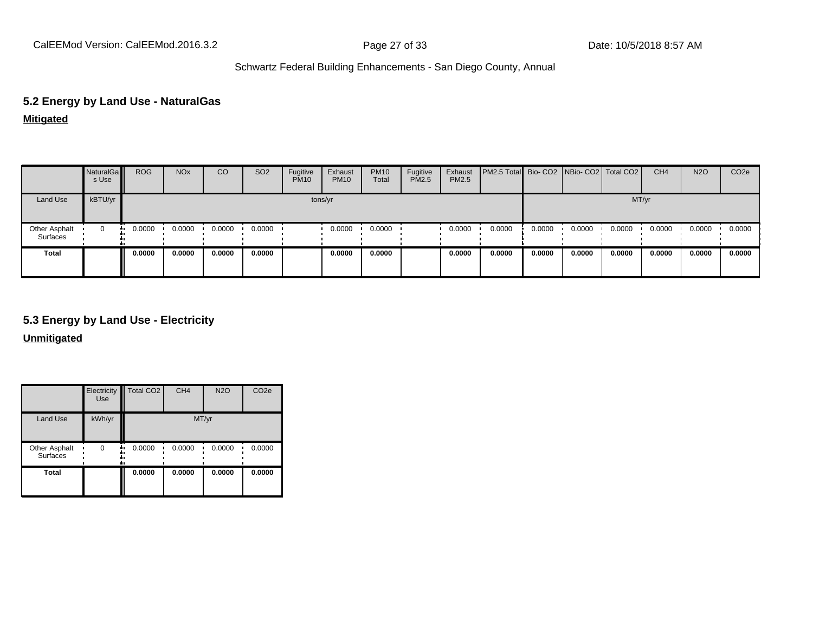# **5.2 Energy by Land Use - NaturalGas**

**Mitigated**

|                           | NaturalGa<br>s Use | <b>ROG</b> | <b>NO<sub>x</sub></b> | CO     | SO <sub>2</sub> | Fugitive<br><b>PM10</b> | Exhaust<br><b>PM10</b> | <b>PM10</b><br>Total | Fugitive<br>PM2.5 | Exhaust<br>PM2.5 | PM2.5 Total Bio-CO2 NBio-CO2 Total CO2 |        |        |        | CH <sub>4</sub> | <b>N2O</b> | CO <sub>2e</sub> |
|---------------------------|--------------------|------------|-----------------------|--------|-----------------|-------------------------|------------------------|----------------------|-------------------|------------------|----------------------------------------|--------|--------|--------|-----------------|------------|------------------|
| Land Use                  | kBTU/yr            |            |                       |        |                 |                         | tons/yr                |                      |                   |                  |                                        |        |        | MT/yr  |                 |            |                  |
| Other Asphalt<br>Surfaces | 0                  | 0.0000     | 0.0000                | 0.0000 | 0.0000          |                         | 0.0000                 | 0.0000               |                   | 0.0000           | 0.0000                                 | 0.0000 | 0.0000 | 0.0000 | 0.0000          | 0.0000     | 0.0000           |
| <b>Total</b>              |                    | 0.0000     | 0.0000                | 0.0000 | 0.0000          |                         | 0.0000                 | 0.0000               |                   | 0.0000           | 0.0000                                 | 0.0000 | 0.0000 | 0.0000 | 0.0000          | 0.0000     | 0.0000           |

## **5.3 Energy by Land Use - Electricity**

**Unmitigated**

|                                  | Electricity<br><b>Use</b> | Total CO <sub>2</sub> | CH <sub>4</sub> | <b>N2O</b> | CO <sub>2e</sub> |
|----------------------------------|---------------------------|-----------------------|-----------------|------------|------------------|
| <b>Land Use</b>                  | kWh/yr                    |                       | MT/yr           |            |                  |
| Other Asphalt<br><b>Surfaces</b> | $\Omega$                  | 0.0000<br>٠.          | 0.0000          | 0.0000     | 0.0000           |
| <b>Total</b>                     |                           | 0.0000                | 0.0000          | 0.0000     | 0.0000           |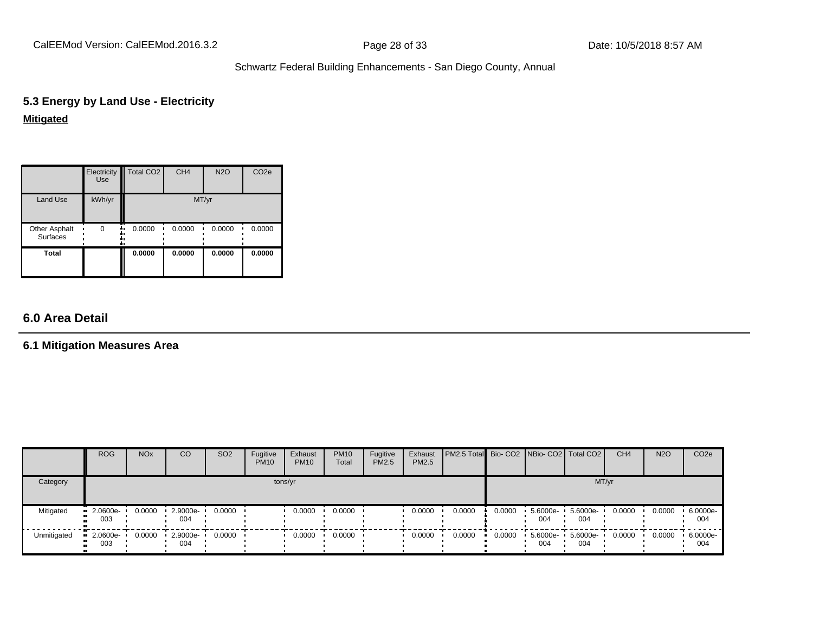CalEEMod Version: CalEEMod.2016.3.2 **Page 28 of 33** Date: 10/5/2018 8:57 AM

## Schwartz Federal Building Enhancements - San Diego County, Annual

## **5.3 Energy by Land Use - Electricity Mitigated**

|                                  | Electricity<br><b>Use</b> | Total CO <sub>2</sub> | CH <sub>4</sub> | <b>N2O</b> | CO <sub>2e</sub> |
|----------------------------------|---------------------------|-----------------------|-----------------|------------|------------------|
| <b>Land Use</b>                  | kWh/yr                    |                       | MT/yr           |            |                  |
| Other Asphalt<br><b>Surfaces</b> | $\Omega$                  | 0.0000                | 0.0000          | 0.0000     | 0.0000           |
| <b>Total</b>                     |                           | 0.0000                | 0.0000          | 0.0000     | 0.0000           |

## **6.0 Area Detail**

## **6.1 Mitigation Measures Area**

|             | <b>ROG</b>                                   | <b>NO<sub>x</sub></b> | CO              | SO <sub>2</sub> | Fugitive<br><b>PM10</b> | Exhaust<br><b>PM10</b> | <b>PM10</b><br>Total | Fugitive<br><b>PM2.5</b> | Exhaust<br>PM2.5 | <b>PM2.5 Total</b> Bio- CO2 NBio- CO2 Total CO2 |        |                 |                 | CH <sub>4</sub> | <b>N2O</b> | CO <sub>2</sub> e |
|-------------|----------------------------------------------|-----------------------|-----------------|-----------------|-------------------------|------------------------|----------------------|--------------------------|------------------|-------------------------------------------------|--------|-----------------|-----------------|-----------------|------------|-------------------|
| Category    |                                              |                       |                 |                 |                         | tons/yr                |                      |                          |                  |                                                 |        |                 |                 | MT/yr           |            |                   |
| Mitigated   | $\blacksquare$ 2.0600e-<br>003<br>ш.         | 0.0000                | 2.9000e-<br>004 | 0.0000          |                         | 0.0000                 | 0.0000               |                          | 0.0000           | 0.0000                                          | 0.0000 | 5.6000e-<br>004 | 5.6000e-<br>004 | 0.0000          | 0.0000     | 6.0000e-<br>004   |
| Unmitigated | $\blacksquare$ 2.0600e-<br>003<br><b>ALC</b> | 0.0000                | 2.9000e-<br>004 | 0.0000          |                         | 0.0000                 | 0.0000               |                          | 0.0000           | 0.0000                                          | 0.0000 | 5.6000e-<br>004 | 5.6000e-<br>004 | 0.0000          | 0.0000     | 6.0000e-<br>004   |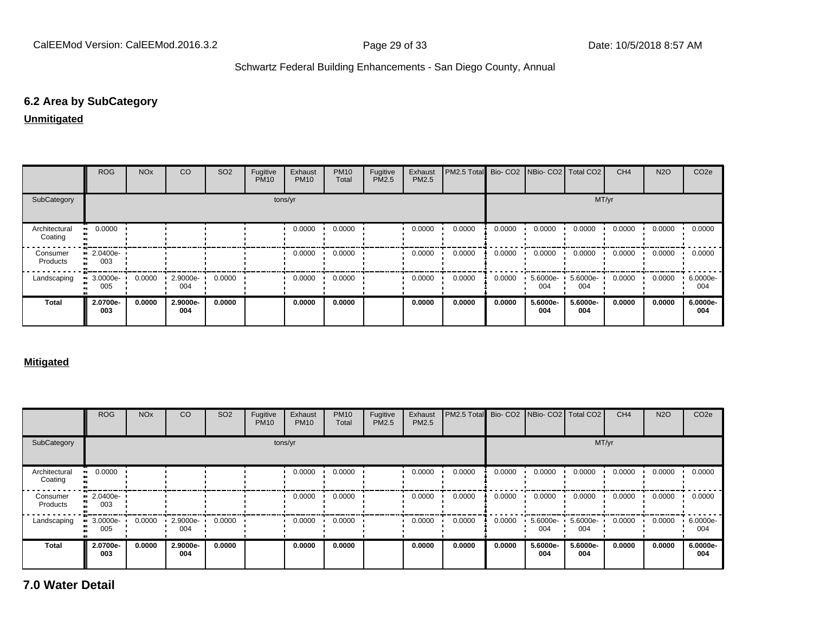## **6.2 Area by SubCategory**

#### **Unmitigated**

|                          | <b>ROG</b>              | <b>NO<sub>x</sub></b> | CO              | SO <sub>2</sub> | Fugitive<br><b>PM10</b> | Exhaust<br><b>PM10</b> | <b>PM10</b><br>Total | Fugitive<br>PM2.5 | Exhaust<br><b>PM2.5</b> | PM2.5 Total |        |                 | Bio- CO2   NBio- CO2   Total CO2 | CH <sub>4</sub> | <b>N2O</b> | CO <sub>2</sub> e |
|--------------------------|-------------------------|-----------------------|-----------------|-----------------|-------------------------|------------------------|----------------------|-------------------|-------------------------|-------------|--------|-----------------|----------------------------------|-----------------|------------|-------------------|
| SubCategory              | tons/yr                 |                       |                 |                 |                         |                        |                      |                   | MT/yr                   |             |        |                 |                                  |                 |            |                   |
| Architectural<br>Coating | 0.0000                  |                       |                 |                 |                         | 0.0000                 | 0.0000               |                   | 0.0000                  | 0.0000      | 0.0000 | 0.0000          | 0.0000                           | 0.0000          | 0.0000     | 0.0000            |
| Consumer<br>Products     | $\cdot$ 2.0400e-<br>003 |                       |                 |                 |                         | 0.0000                 | 0.0000               |                   | 0.0000                  | 0.0000      | 0.0000 | 0.0000          | 0.0000                           | 0.0000          | 0.0000     | 0.0000            |
| Landscaping              | $-3.0000e-$<br>005      | 0.0000                | 2.9000e-<br>004 | 0.0000          |                         | 0.0000                 | 0.0000               |                   | 0.0000                  | 0.0000      | 0.0000 | 5.6000e-<br>004 | 5.6000e-<br>004                  | 0.0000          | 0.0000     | 6.0000e-<br>004   |
| <b>Total</b>             | 2.0700e-<br>003         | 0.0000                | 2.9000e-<br>004 | 0.0000          |                         | 0.0000                 | 0.0000               |                   | 0.0000                  | 0.0000      | 0.0000 | 5.6000e-<br>004 | 5.6000e-<br>004                  | 0.0000          | 0.0000     | 6.0000e-<br>004   |

#### **Mitigated**

|                          | <b>ROG</b>                     | <b>NO<sub>x</sub></b> | CO              | SO <sub>2</sub> | Fugitive<br><b>PM10</b> | Exhaust<br><b>PM10</b> | <b>PM10</b><br>Total | Fugitive<br><b>PM2.5</b> | Exhaust<br>PM2.5 | PM2.5 Total |        |                      | Bio- CO2 NBio- CO2   Total CO2 | CH <sub>4</sub> | <b>N2O</b> | CO <sub>2e</sub> |
|--------------------------|--------------------------------|-----------------------|-----------------|-----------------|-------------------------|------------------------|----------------------|--------------------------|------------------|-------------|--------|----------------------|--------------------------------|-----------------|------------|------------------|
| SubCategory              |                                |                       |                 |                 |                         | tons/yr                |                      |                          |                  |             |        |                      | MT/yr                          |                 |            |                  |
| Architectural<br>Coating | 0.0000                         |                       |                 |                 |                         | 0.0000                 | 0.0000               |                          | 0.0000           | 0.0000      | 0.0000 | 0.0000               | 0.0000                         | 0.0000          | 0.0000     | 0.0000           |
| Consumer<br>Products     | $\blacksquare$ 2.0400e-<br>003 |                       |                 |                 |                         | 0.0000                 | 0.0000               |                          | 0.0000           | 0.0000      | 0.0000 | 0.0000               | 0.0000                         | 0.0000          | 0.0000     | 0.0000           |
| Landscaping              | 3.0000e-<br>005                | 0.0000                | 2.9000e-<br>004 | 0.0000          |                         | 0.0000                 | 0.0000               |                          | 0.0000           | 0.0000      | 0.0000 | $5.6000e - 1$<br>004 | 5.6000e-<br>004                | 0.0000          | 0.0000     | 6.0000e-<br>004  |
| <b>Total</b>             | 2.0700e-<br>003                | 0.0000                | 2.9000e-<br>004 | 0.0000          |                         | 0.0000                 | 0.0000               |                          | 0.0000           | 0.0000      | 0.0000 | 5.6000e-<br>004      | 5.6000e-<br>004                | 0.0000          | 0.0000     | 6.0000e-<br>004  |

**7.0 Water Detail**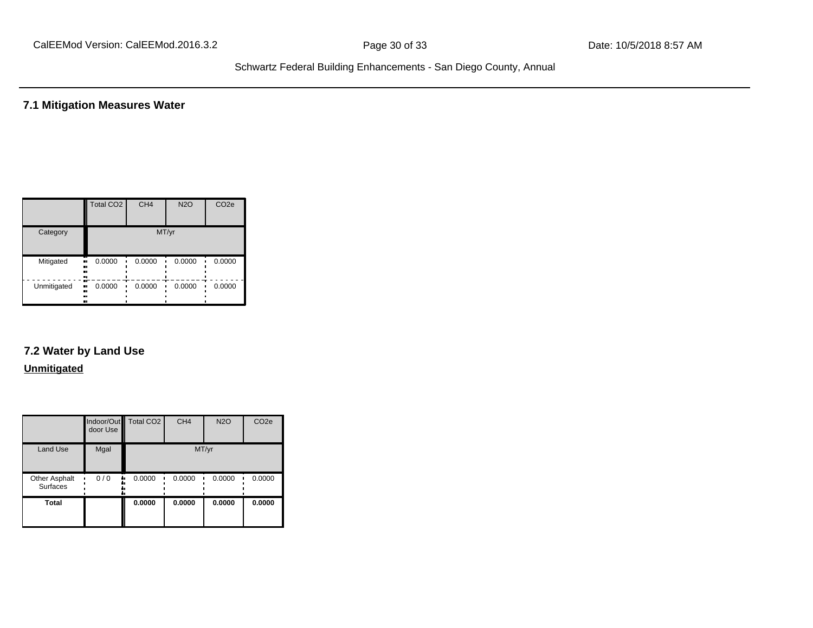**7.1 Mitigation Measures Water**

|             | <b>Total CO2</b>       | CH <sub>4</sub> | <b>N2O</b> | CO <sub>2e</sub> |
|-------------|------------------------|-----------------|------------|------------------|
| Category    |                        |                 | MT/yr      |                  |
| Mitigated   | 0.0000<br>.,<br><br>   | 0.0000          | 0.0000     | 0.0000           |
| Unmitigated | 0.0000<br><br><br><br> | 0.0000          | 0.0000     | 0.0000           |

# **7.2 Water by Land Use**

#### **Unmitigated**

|                                  | door Use  | Indoor/Out Total CO2 | CH <sub>4</sub> | <b>N2O</b> | CO <sub>2e</sub> |
|----------------------------------|-----------|----------------------|-----------------|------------|------------------|
| <b>Land Use</b>                  | Mgal      |                      |                 | MT/yr      |                  |
| Other Asphalt<br><b>Surfaces</b> | 0/0<br>٠. | 0.0000               | 0.0000          | 0.0000     | 0.0000           |
| <b>Total</b>                     |           | 0.0000               | 0.0000          | 0.0000     | 0.0000           |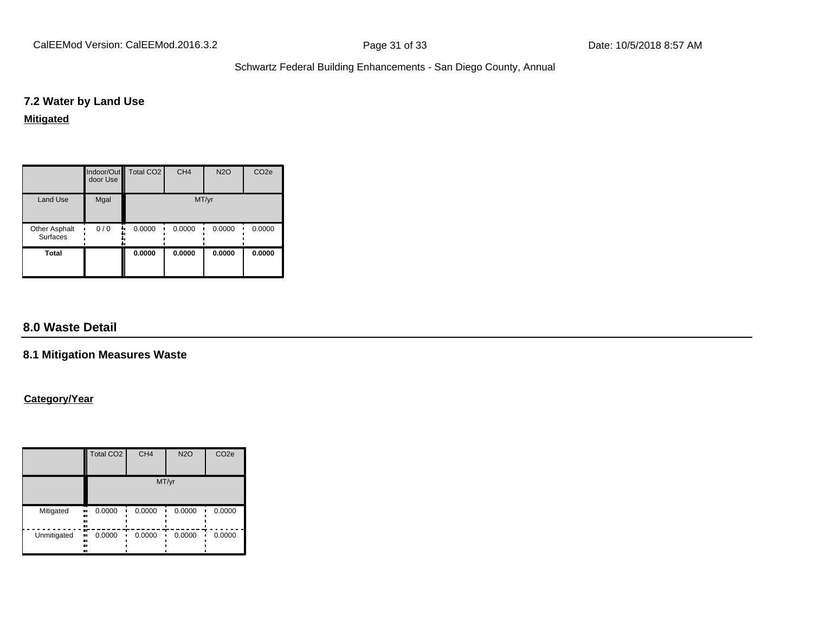#### **7.2 Water by Land Use**

#### **Mitigated**

|                                         | door Use | Indoor/Out   Total CO2 | CH <sub>4</sub> | <b>N2O</b> | CO <sub>2e</sub> |
|-----------------------------------------|----------|------------------------|-----------------|------------|------------------|
| Land Use                                | Mgal     |                        |                 | MT/yr      |                  |
| <b>Other Asphalt</b><br><b>Surfaces</b> | 0/0<br>  | 0.0000                 | 0.0000          | 0.0000     | 0.0000           |
| <b>Total</b>                            |          | 0.0000                 | 0.0000          | 0.0000     | 0.0000           |

## **8.0 Waste Detail**

#### **8.1 Mitigation Measures Waste**

### **Category/Year**

|             | Total CO <sub>2</sub>         | CH <sub>4</sub> | <b>N2O</b> | CO <sub>2e</sub> |
|-------------|-------------------------------|-----------------|------------|------------------|
|             |                               |                 | MT/yr      |                  |
| Mitigated   | 0.0000<br><br><br><br>        | 0.0000          | 0.0000     | 0.0000           |
| Unmitigated | æ<br>0.0000<br>.,<br><br><br> | 0.0000          | 0.0000     | 0.0000           |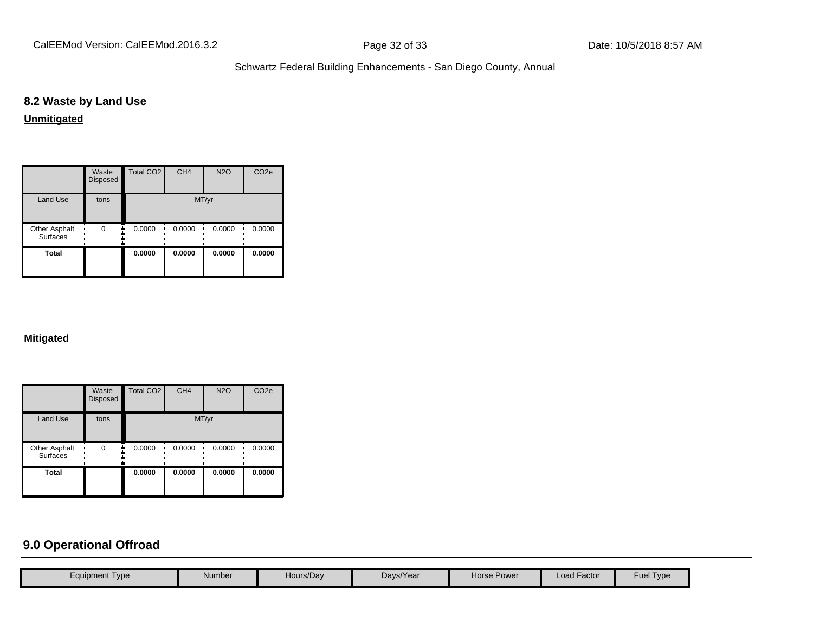## **8.2 Waste by Land Use**

**Unmitigated**

|                                  | Waste<br>Disposed | Total CO <sub>2</sub> | CH <sub>4</sub> | <b>N2O</b> | CO <sub>2e</sub> |
|----------------------------------|-------------------|-----------------------|-----------------|------------|------------------|
| <b>Land Use</b>                  | tons              |                       |                 | MT/yr      |                  |
| Other Asphalt<br><b>Surfaces</b> | $\Omega$          | 0.0000                | 0.0000          | 0.0000     | 0.0000           |
| Total                            |                   | 0.0000                | 0.0000          | 0.0000     | 0.0000           |

#### **Mitigated**

|                                         | Waste<br>Disposed | <b>Total CO2</b> | CH <sub>4</sub> | <b>N2O</b> | CO <sub>2e</sub> |
|-----------------------------------------|-------------------|------------------|-----------------|------------|------------------|
| <b>Land Use</b>                         | tons              |                  | MT/yr           |            |                  |
| <b>Other Asphalt</b><br><b>Surfaces</b> | $\Omega$          | 0.0000           | 0.0000          | 0.0000     | 0.0000           |
| <b>Total</b>                            |                   | 0.0000           | 0.0000          | 0.0000     | 0.0000           |

## **9.0 Operational Offroad**

| Fuel Type<br><b>Load Factor</b><br>Hours/Day<br>Days/Year<br>Horse Power<br>Number<br>Equipment Type |  |  |  |  |
|------------------------------------------------------------------------------------------------------|--|--|--|--|
|                                                                                                      |  |  |  |  |